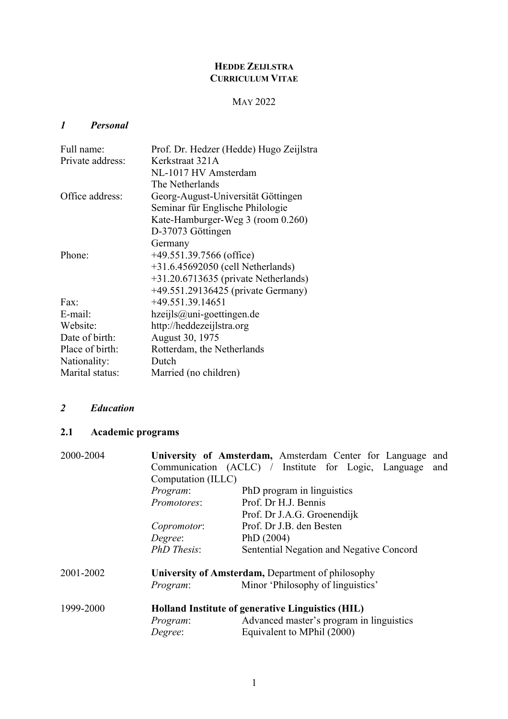## **HEDDE ZEIJLSTRA CURRICULUM VITAE**

## MAY 2022

## *1 Personal*

| Full name:       | Prof. Dr. Hedzer (Hedde) Hugo Zeijlstra |
|------------------|-----------------------------------------|
| Private address: | Kerkstraat 321A                         |
|                  | NL-1017 HV Amsterdam                    |
|                  | The Netherlands                         |
| Office address:  | Georg-August-Universität Göttingen      |
|                  | Seminar für Englische Philologie        |
|                  | Kate-Hamburger-Weg 3 (room 0.260)       |
|                  | D-37073 Göttingen                       |
|                  | Germany                                 |
| Phone:           | $+49.551.39.7566$ (office)              |
|                  | $+31.6.45692050$ (cell Netherlands)     |
|                  | $+31.20.6713635$ (private Netherlands)  |
|                  | +49.551.29136425 (private Germany)      |
| Fax:             | $+49.551.39.14651$                      |
| E-mail:          | $hzeijls@uni-goettingen.de$             |
| Website:         | http://heddezeijlstra.org               |
| Date of birth:   | August 30, 1975                         |
| Place of birth:  | Rotterdam, the Netherlands              |
| Nationality:     | Dutch                                   |
| Marital status:  | Married (no children)                   |

## *2 Education*

# **2.1 Academic programs**

| 2000-2004 |                    | University of Amsterdam, Amsterdam Center for Language and  |
|-----------|--------------------|-------------------------------------------------------------|
|           |                    | Communication (ACLC) / Institute for Logic, Language<br>and |
|           | Computation (ILLC) |                                                             |
|           | Program:           | PhD program in linguistics                                  |
|           | Promotores:        | Prof. Dr H.J. Bennis                                        |
|           |                    | Prof. Dr J.A.G. Groenendijk                                 |
|           | Copromotor:        | Prof. Dr J.B. den Besten                                    |
|           | Degree:            | PhD $(2004)$                                                |
|           | <b>PhD</b> Thesis: | Sentential Negation and Negative Concord                    |
| 2001-2002 |                    | University of Amsterdam, Department of philosophy           |
|           | Program:           | Minor 'Philosophy of linguistics'                           |
| 1999-2000 |                    | Holland Institute of generative Linguistics (HIL)           |
|           | Program:           | Advanced master's program in linguistics                    |
|           | Degree:            | Equivalent to MPhil (2000)                                  |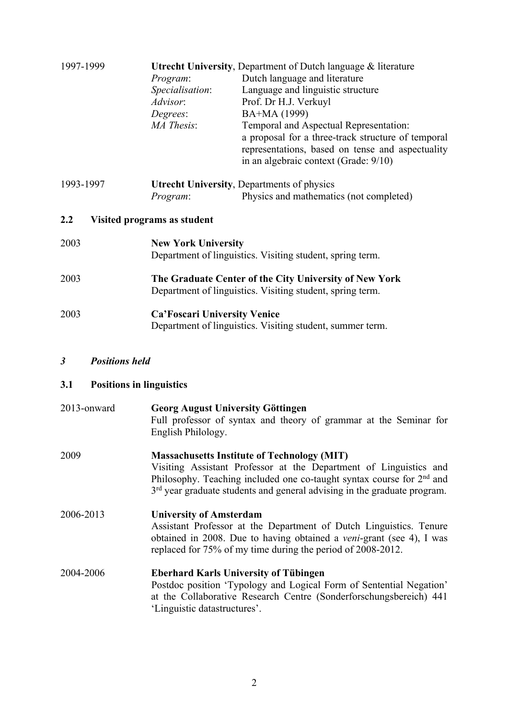| 1997-1999 |                              | <b>Utrecht University, Department of Dutch language &amp; literature</b> |
|-----------|------------------------------|--------------------------------------------------------------------------|
|           | Program:                     | Dutch language and literature                                            |
|           | Specialisation:              | Language and linguistic structure                                        |
|           | Advisor:                     | Prof. Dr H.J. Verkuyl                                                    |
|           | Degrees:                     | BA+MA (1999)                                                             |
|           | MA Thesis:                   | Temporal and Aspectual Representation:                                   |
|           |                              | a proposal for a three-track structure of temporal                       |
|           |                              | representations, based on tense and aspectuality                         |
|           |                              | in an algebraic context (Grade: 9/10)                                    |
| 1993-1997 |                              | <b>Utrecht University, Departments of physics</b>                        |
|           | Program:                     | Physics and mathematics (not completed)                                  |
|           |                              |                                                                          |
| 2.2       | Visited programs as student  |                                                                          |
| 2003      | <b>New York University</b>   |                                                                          |
|           |                              | Department of linguistics. Visiting student, spring term.                |
| 2003      |                              | The Graduate Center of the City University of New York                   |
|           |                              | Department of linguistics. Visiting student, spring term.                |
| 2003      | Ca'Foscari University Venice |                                                                          |
|           |                              | Department of linguistics. Visiting student, summer term.                |

*3 Positions held*

## **3.1 Positions in linguistics**

| 2013-onward | <b>Georg August University Göttingen</b><br>Full professor of syntax and theory of grammar at the Seminar for<br>English Philology.                                                                                                                                              |
|-------------|----------------------------------------------------------------------------------------------------------------------------------------------------------------------------------------------------------------------------------------------------------------------------------|
| 2009        | <b>Massachusetts Institute of Technology (MIT)</b><br>Visiting Assistant Professor at the Department of Linguistics and<br>Philosophy. Teaching included one co-taught syntax course for $2nd$ and<br>$3rd$ year graduate students and general advising in the graduate program. |
| 2006-2013   | <b>University of Amsterdam</b><br>Assistant Professor at the Department of Dutch Linguistics. Tenure<br>obtained in 2008. Due to having obtained a <i>veni</i> -grant (see 4), I was<br>replaced for 75% of my time during the period of 2008-2012.                              |

2004-2006 **Eberhard Karls University of Tübingen** Postdoc position 'Typology and Logical Form of Sentential Negation' at the Collaborative Research Centre (Sonderforschungsbereich) 441 'Linguistic datastructures'.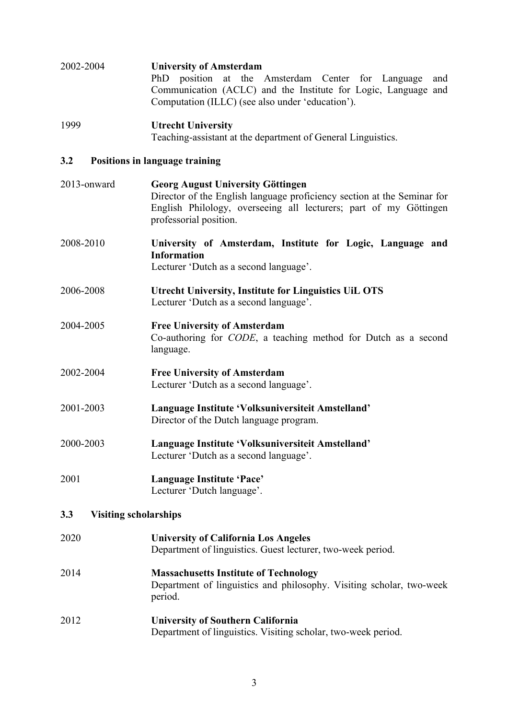| 2002-2004                           | <b>University of Amsterdam</b><br>position at the Amsterdam Center for Language<br>PhD<br>and<br>Communication (ACLC) and the Institute for Logic, Language and<br>Computation (ILLC) (see also under 'education'). |
|-------------------------------------|---------------------------------------------------------------------------------------------------------------------------------------------------------------------------------------------------------------------|
| 1999                                | <b>Utrecht University</b><br>Teaching-assistant at the department of General Linguistics.                                                                                                                           |
| 3.2                                 | <b>Positions in language training</b>                                                                                                                                                                               |
| 2013-onward                         | <b>Georg August University Göttingen</b><br>Director of the English language proficiency section at the Seminar for<br>English Philology, overseeing all lecturers; part of my Göttingen<br>professorial position.  |
| 2008-2010                           | University of Amsterdam, Institute for Logic, Language and<br><b>Information</b><br>Lecturer 'Dutch as a second language'.                                                                                          |
| 2006-2008                           | <b>Utrecht University, Institute for Linguistics UiL OTS</b><br>Lecturer 'Dutch as a second language'.                                                                                                              |
| 2004-2005                           | <b>Free University of Amsterdam</b><br>Co-authoring for <i>CODE</i> , a teaching method for Dutch as a second<br>language.                                                                                          |
| 2002-2004                           | <b>Free University of Amsterdam</b><br>Lecturer 'Dutch as a second language'.                                                                                                                                       |
| 2001-2003                           | Language Institute 'Volksuniversiteit Amstelland'<br>Director of the Dutch language program.                                                                                                                        |
| 2000-2003                           | Language Institute 'Volksuniversiteit Amstelland'<br>Lecturer 'Dutch as a second language'.                                                                                                                         |
| 2001                                | Language Institute 'Pace'<br>Lecturer 'Dutch language'.                                                                                                                                                             |
| 3.3<br><b>Visiting scholarships</b> |                                                                                                                                                                                                                     |
| 2020                                | <b>University of California Los Angeles</b><br>Department of linguistics. Guest lecturer, two-week period.                                                                                                          |
| 2014                                | <b>Massachusetts Institute of Technology</b><br>Department of linguistics and philosophy. Visiting scholar, two-week<br>period.                                                                                     |
| 2012                                | <b>University of Southern California</b><br>Department of linguistics. Visiting scholar, two-week period.                                                                                                           |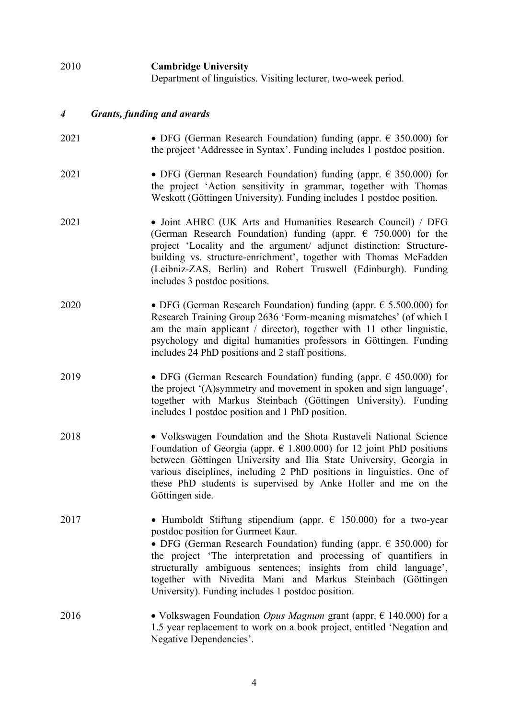| 2010 | <b>Cambridge University</b><br>Department of linguistics. Visiting lecturer, two-week period.                                                                                                                                                                                                                                                                                          |
|------|----------------------------------------------------------------------------------------------------------------------------------------------------------------------------------------------------------------------------------------------------------------------------------------------------------------------------------------------------------------------------------------|
| 4    | <b>Grants, funding and awards</b>                                                                                                                                                                                                                                                                                                                                                      |
| 2021 | • DFG (German Research Foundation) funding (appr. $\epsilon$ 350.000) for<br>the project 'Addressee in Syntax'. Funding includes 1 postdoc position.                                                                                                                                                                                                                                   |
| 2021 | • DFG (German Research Foundation) funding (appr. $\epsilon$ 350.000) for<br>the project 'Action sensitivity in grammar, together with Thomas<br>Weskott (Göttingen University). Funding includes 1 postdoc position.                                                                                                                                                                  |
| 2021 | • Joint AHRC (UK Arts and Humanities Research Council) / DFG<br>(German Research Foundation) funding (appr. $\epsilon$ 750.000) for the<br>project 'Locality and the argument/ adjunct distinction: Structure-<br>building vs. structure-enrichment', together with Thomas McFadden<br>(Leibniz-ZAS, Berlin) and Robert Truswell (Edinburgh). Funding<br>includes 3 postdoc positions. |
| 2020 | • DFG (German Research Foundation) funding (appr. $\epsilon$ 5.500.000) for<br>Research Training Group 2636 'Form-meaning mismatches' (of which I<br>am the main applicant $/$ director), together with 11 other linguistic,<br>psychology and digital humanities professors in Göttingen. Funding<br>includes 24 PhD positions and 2 staff positions.                                 |

- 2019 DFG (German Research Foundation) funding (appr.  $\epsilon$  450.000) for the project '(A)symmetry and movement in spoken and sign language', together with Markus Steinbach (Göttingen University). Funding includes 1 postdoc position and 1 PhD position.
- 2018 Volkswagen Foundation and the Shota Rustaveli National Science Foundation of Georgia (appr.  $\epsilon$  1.800.000) for 12 joint PhD positions between Göttingen University and Ilia State University, Georgia in various disciplines, including 2 PhD positions in linguistics. One of these PhD students is supervised by Anke Holler and me on the Göttingen side.
- 2017 Humboldt Stiftung stipendium (appr.  $\epsilon$  150.000) for a two-year postdoc position for Gurmeet Kaur. • DFG (German Research Foundation) funding (appr.  $\epsilon$  350.000) for the project 'The interpretation and processing of quantifiers in structurally ambiguous sentences; insights from child language', together with Nivedita Mani and Markus Steinbach (Göttingen
- 2016 Volkswagen Foundation *Opus Magnum* grant (appr. € 140.000) for a 1.5 year replacement to work on a book project, entitled 'Negation and Negative Dependencies'.

University). Funding includes 1 postdoc position.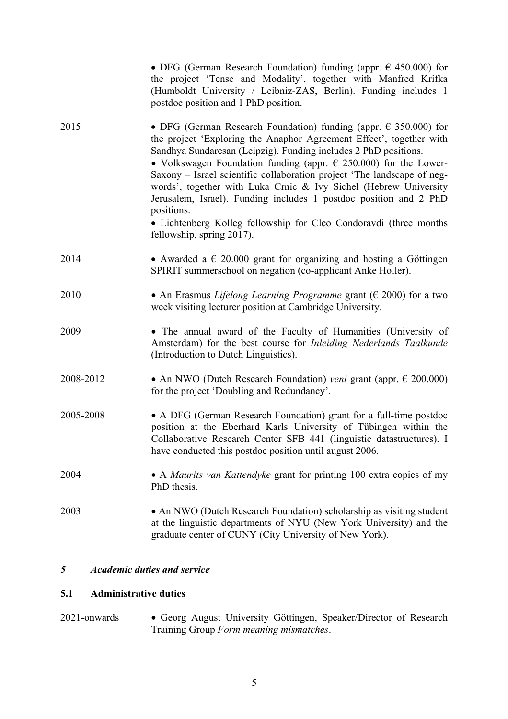| • DFG (German Research Foundation) funding (appr. $\epsilon$ 450.000) for<br>the project 'Tense and Modality', together with Manfred Krifka<br>(Humboldt University / Leibniz-ZAS, Berlin). Funding includes 1<br>postdoc position and 1 PhD position.                                                                                                                                                                                                                                                                                                                                                                               |
|--------------------------------------------------------------------------------------------------------------------------------------------------------------------------------------------------------------------------------------------------------------------------------------------------------------------------------------------------------------------------------------------------------------------------------------------------------------------------------------------------------------------------------------------------------------------------------------------------------------------------------------|
| • DFG (German Research Foundation) funding (appr. $\epsilon$ 350.000) for<br>the project 'Exploring the Anaphor Agreement Effect', together with<br>Sandhya Sundaresan (Leipzig). Funding includes 2 PhD positions.<br>• Volkswagen Foundation funding (appr. $\epsilon$ 250.000) for the Lower-<br>Saxony – Israel scientific collaboration project 'The landscape of neg-<br>words', together with Luka Crnic & Ivy Sichel (Hebrew University<br>Jerusalem, Israel). Funding includes 1 postdoc position and 2 PhD<br>positions.<br>• Lichtenberg Kolleg fellowship for Cleo Condoravdi (three months<br>fellowship, spring 2017). |
| • Awarded a $\epsilon$ 20.000 grant for organizing and hosting a Göttingen<br>SPIRIT summerschool on negation (co-applicant Anke Holler).                                                                                                                                                                                                                                                                                                                                                                                                                                                                                            |
| • An Erasmus Lifelong Learning Programme grant ( $\epsilon$ 2000) for a two<br>week visiting lecturer position at Cambridge University.                                                                                                                                                                                                                                                                                                                                                                                                                                                                                              |
| • The annual award of the Faculty of Humanities (University of<br>Amsterdam) for the best course for <i>Inleiding Nederlands Taalkunde</i><br>(Introduction to Dutch Linguistics).                                                                                                                                                                                                                                                                                                                                                                                                                                                   |
| • An NWO (Dutch Research Foundation) veni grant (appr. $\epsilon$ 200.000)<br>for the project 'Doubling and Redundancy'.                                                                                                                                                                                                                                                                                                                                                                                                                                                                                                             |
| • A DFG (German Research Foundation) grant for a full-time postdoc<br>position at the Eberhard Karls University of Tübingen within the<br>Collaborative Research Center SFB 441 (linguistic datastructures). I<br>have conducted this postdoc position until august 2006.                                                                                                                                                                                                                                                                                                                                                            |
| • A <i>Maurits van Kattendyke</i> grant for printing 100 extra copies of my<br>PhD thesis.                                                                                                                                                                                                                                                                                                                                                                                                                                                                                                                                           |
| • An NWO (Dutch Research Foundation) scholarship as visiting student<br>at the linguistic departments of NYU (New York University) and the<br>graduate center of CUNY (City University of New York).                                                                                                                                                                                                                                                                                                                                                                                                                                 |
|                                                                                                                                                                                                                                                                                                                                                                                                                                                                                                                                                                                                                                      |

### *5 Academic duties and service*

## **5.1 Administrative duties**

2021-onwards • Georg August University Göttingen, Speaker/Director of Research Training Group *Form meaning mismatches*.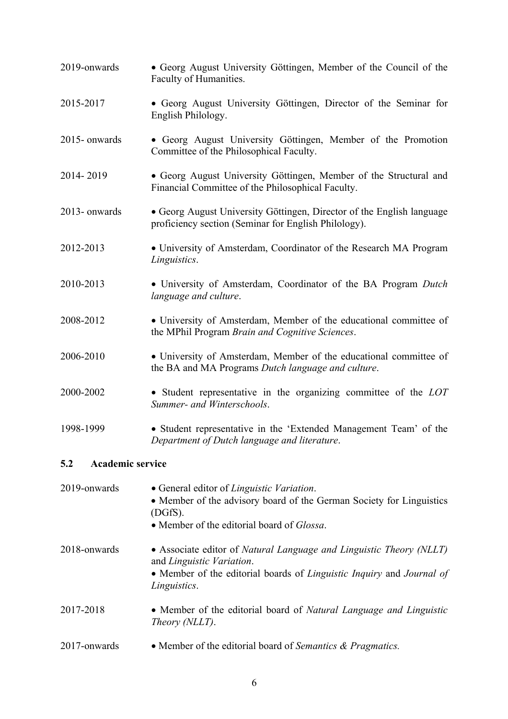| 2019-onwards            | • Georg August University Göttingen, Member of the Council of the<br>Faculty of Humanities.                                                                                |
|-------------------------|----------------------------------------------------------------------------------------------------------------------------------------------------------------------------|
| 2015-2017               | • Georg August University Göttingen, Director of the Seminar for<br>English Philology.                                                                                     |
| 2015-onwards            | • Georg August University Göttingen, Member of the Promotion<br>Committee of the Philosophical Faculty.                                                                    |
| 2014-2019               | • Georg August University Göttingen, Member of the Structural and<br>Financial Committee of the Philosophical Faculty.                                                     |
| 2013- onwards           | • Georg August University Göttingen, Director of the English language<br>proficiency section (Seminar for English Philology).                                              |
| 2012-2013               | • University of Amsterdam, Coordinator of the Research MA Program<br>Linguistics.                                                                                          |
| 2010-2013               | • University of Amsterdam, Coordinator of the BA Program Dutch<br>language and culture.                                                                                    |
| 2008-2012               | • University of Amsterdam, Member of the educational committee of<br>the MPhil Program Brain and Cognitive Sciences.                                                       |
| 2006-2010               | • University of Amsterdam, Member of the educational committee of<br>the BA and MA Programs Dutch language and culture.                                                    |
| 2000-2002               | • Student representative in the organizing committee of the LOT<br>Summer- and Winterschools.                                                                              |
| 1998-1999               | • Student representative in the 'Extended Management Team' of the<br>Department of Dutch language and literature.                                                          |
| Academic service<br>5.2 |                                                                                                                                                                            |
| 2019-onwards            | • General editor of Linguistic Variation.<br>• Member of the advisory board of the German Society for Linguistics<br>(DGfS).<br>• Member of the editorial board of Glossa. |
| 2018-onwards            | • Associate editor of Natural Language and Linguistic Theory (NLLT)<br>and Linguistic Variation.<br>• Member of the editorial boards of Linguistic Inquiry and Journal of  |

- *Linguistics*.
- 2017-2018 Member of the editorial board of *Natural Language and Linguistic Theory (NLLT)*.
- 2017-onwards Member of the editorial board of *Semantics & Pragmatics.*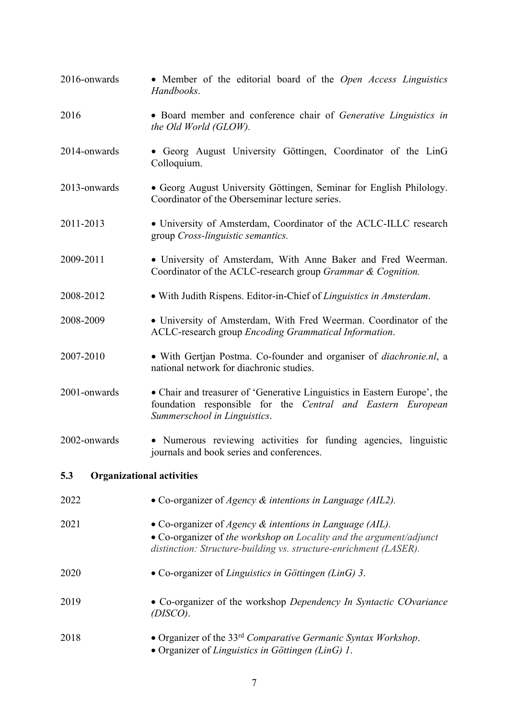- 2016-onwards Member of the editorial board of the *Open Access Linguistics Handbooks*.
- 2016 Board member and conference chair of *Generative Linguistics in the Old World (GLOW).*
- 2014-onwards Georg August University Göttingen, Coordinator of the LinG Colloquium.
- 2013-onwards Georg August University Göttingen, Seminar for English Philology. Coordinator of the Oberseminar lecture series.
- 2011-2013 University of Amsterdam, Coordinator of the ACLC-ILLC research group *Cross-linguistic semantics.*
- 2009-2011 University of Amsterdam, With Anne Baker and Fred Weerman. Coordinator of the ACLC-research group *Grammar & Cognition.*
- 2008-2012 With Judith Rispens. Editor-in-Chief of *Linguistics in Amsterdam*.
- 2008-2009 University of Amsterdam, With Fred Weerman. Coordinator of the ACLC-research group *Encoding Grammatical Information*.
- 2007-2010 With Gertjan Postma. Co-founder and organiser of *diachronie.nl*, a national network for diachronic studies.
- 2001-onwards Chair and treasurer of 'Generative Linguistics in Eastern Europe', the foundation responsible for the *Central and Eastern European Summerschool in Linguistics*.
- 2002-onwards Numerous reviewing activities for funding agencies, linguistic journals and book series and conferences.

### **5.3 Organizational activities**

- 2022 Co-organizer of *Agency & intentions in Language (AIL2).*
- 2021 Co-organizer of *Agency & intentions in Language (AIL).* • Co-organizer of *the workshop on Locality and the argument/adjunct* 
	- *distinction: Structure-building vs. structure-enrichment (LASER).*
- 2020 Co-organizer of *Linguistics in Göttingen (LinG) 3*.
- 2019 Co-organizer of the workshop *Dependency In Syntactic COvariance (DISCO)*.
- 2018 Organizer of the 33rd *Comparative Germanic Syntax Workshop*. • Organizer of *Linguistics in Göttingen (LinG) 1*.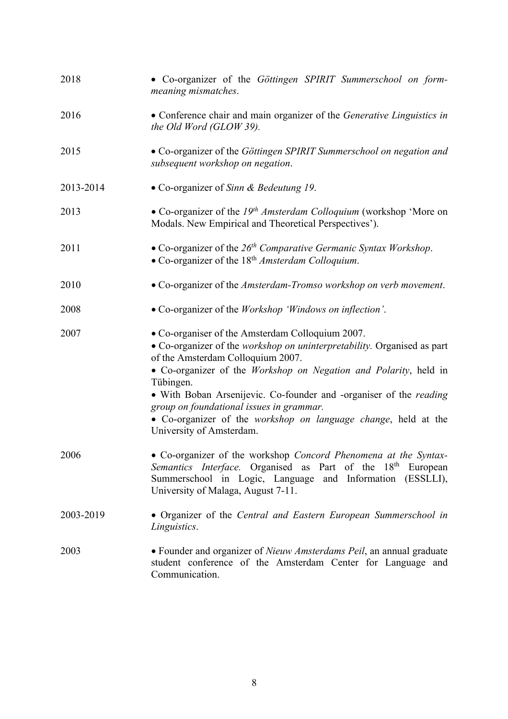| 2018      | • Co-organizer of the Göttingen SPIRIT Summerschool on form-<br>meaning mismatches.                                                                                                                                                                                                                                                                                                                                                                               |
|-----------|-------------------------------------------------------------------------------------------------------------------------------------------------------------------------------------------------------------------------------------------------------------------------------------------------------------------------------------------------------------------------------------------------------------------------------------------------------------------|
| 2016      | • Conference chair and main organizer of the Generative Linguistics in<br>the Old Word (GLOW 39).                                                                                                                                                                                                                                                                                                                                                                 |
| 2015      | • Co-organizer of the Göttingen SPIRIT Summerschool on negation and<br>subsequent workshop on negation.                                                                                                                                                                                                                                                                                                                                                           |
| 2013-2014 | • Co-organizer of Sinn & Bedeutung 19.                                                                                                                                                                                                                                                                                                                                                                                                                            |
| 2013      | • Co-organizer of the $19th Amsterdam$ Colloquium (workshop 'More on<br>Modals. New Empirical and Theoretical Perspectives').                                                                                                                                                                                                                                                                                                                                     |
| 2011      | • Co-organizer of the $26th$ Comparative Germanic Syntax Workshop.<br>• Co-organizer of the $18th Amsterdam$ Colloquium.                                                                                                                                                                                                                                                                                                                                          |
| 2010      | • Co-organizer of the Amsterdam-Tromso workshop on verb movement.                                                                                                                                                                                                                                                                                                                                                                                                 |
| 2008      | • Co-organizer of the Workshop 'Windows on inflection'.                                                                                                                                                                                                                                                                                                                                                                                                           |
| 2007      | • Co-organiser of the Amsterdam Colloquium 2007.<br>• Co-organizer of the workshop on uninterpretability. Organised as part<br>of the Amsterdam Colloquium 2007.<br>• Co-organizer of the Workshop on Negation and Polarity, held in<br>Tübingen.<br>• With Boban Arsenijevic. Co-founder and -organiser of the reading<br>group on foundational issues in grammar.<br>• Co-organizer of the workshop on language change, held at the<br>University of Amsterdam. |
| 2006      | • Co-organizer of the workshop Concord Phenomena at the Syntax-<br>Semantics Interface. Organised as Part of the 18 <sup>th</sup> European<br>Summerschool in Logic, Language and Information (ESSLLI),<br>University of Malaga, August 7-11.                                                                                                                                                                                                                     |
| 2003-2019 | • Organizer of the Central and Eastern European Summerschool in<br>Linguistics.                                                                                                                                                                                                                                                                                                                                                                                   |
| 2003      | • Founder and organizer of <i>Nieuw Amsterdams Peil</i> , an annual graduate<br>student conference of the Amsterdam Center for Language and<br>Communication.                                                                                                                                                                                                                                                                                                     |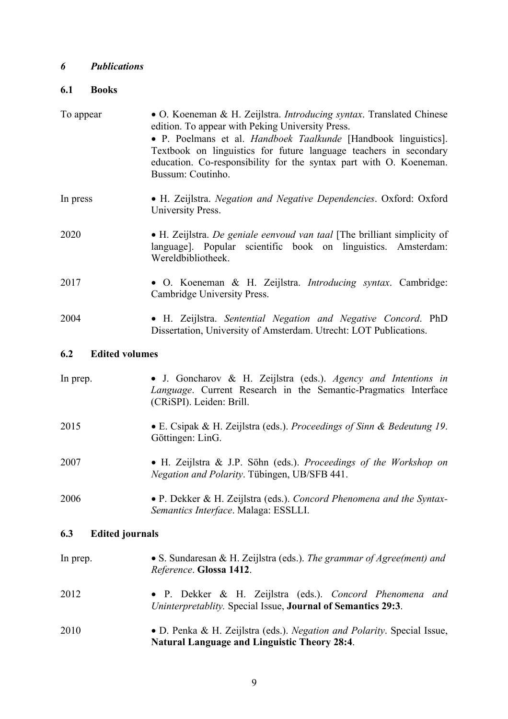### *6 Publications*

## **6.1 Books**

| To appear                    | • O. Koeneman & H. Zeijlstra. Introducing syntax. Translated Chinese<br>edition. To appear with Peking University Press.                                                                                                        |
|------------------------------|---------------------------------------------------------------------------------------------------------------------------------------------------------------------------------------------------------------------------------|
|                              | • P. Poelmans et al. Handboek Taalkunde [Handbook linguistics].<br>Textbook on linguistics for future language teachers in secondary<br>education. Co-responsibility for the syntax part with O. Koeneman.<br>Bussum: Coutinho. |
| In press                     | • H. Zeijlstra. Negation and Negative Dependencies. Oxford: Oxford<br>University Press.                                                                                                                                         |
| 2020                         | • H. Zeijlstra. De geniale eenvoud van taal [The brilliant simplicity of<br>language]. Popular scientific book on linguistics. Amsterdam:<br>Wereldbibliotheek.                                                                 |
| 2017                         | • O. Koeneman & H. Zeijlstra. <i>Introducing syntax</i> . Cambridge:<br>Cambridge University Press.                                                                                                                             |
| 2004                         | • H. Zeijlstra. Sentential Negation and Negative Concord. PhD<br>Dissertation, University of Amsterdam. Utrecht: LOT Publications.                                                                                              |
| 6.2<br><b>Edited volumes</b> |                                                                                                                                                                                                                                 |
| In prep.                     | · J. Goncharov & H. Zeijlstra (eds.). Agency and Intentions in<br>Language. Current Research in the Semantic-Pragmatics Interface<br>(CRiSPI). Leiden: Brill.                                                                   |
| 2015                         | • E. Csipak & H. Zeijlstra (eds.). Proceedings of Sinn & Bedeutung 19.<br>Göttingen: LinG.                                                                                                                                      |
| 2007                         | · H. Zeijlstra & J.P. Söhn (eds.). Proceedings of the Workshop on<br>Negation and Polarity. Tübingen, UB/SFB 441.                                                                                                               |

2006 • P. Dekker & H. Zeijlstra (eds.). *Concord Phenomena and the Syntax-Semantics Interface*. Malaga: ESSLLI.

## **6.3 Edited journals**

| In prep. | • S. Sundaresan & H. Zeijlstra (eds.). The grammar of Agree(ment) and<br>Reference. Glossa 1412.                                    |
|----------|-------------------------------------------------------------------------------------------------------------------------------------|
| 2012     | • P. Dekker & H. Zeijlstra (eds.). Concord Phenomena<br>and<br>Uninterpretablity. Special Issue, <b>Journal of Semantics 29:3</b> . |
| 2010     | • D. Penka & H. Zeijlstra (eds.). Negation and Polarity. Special Issue,<br><b>Natural Language and Linguistic Theory 28:4.</b>      |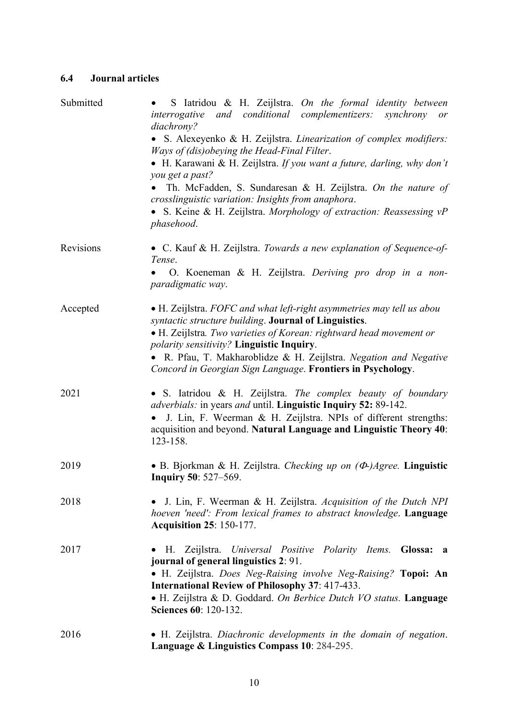#### **6.4 Journal articles**

| Submitted | S latridou & H. Zeijlstra. On the formal identity between<br>and conditional complementizers:<br>interrogative<br>synchrony<br>or<br>diachrony?                               |
|-----------|-------------------------------------------------------------------------------------------------------------------------------------------------------------------------------|
|           | • S. Alexeyenko & H. Zeijlstra. Linearization of complex modifiers:<br>Ways of (dis) obeying the Head-Final Filter.                                                           |
|           | • H. Karawani & H. Zeijlstra. If you want a future, darling, why don't<br>you get a past?                                                                                     |
|           | Th. McFadden, S. Sundaresan & H. Zeijlstra. On the nature of<br>crosslinguistic variation: Insights from anaphora.                                                            |
|           | • S. Keine & H. Zeijlstra. Morphology of extraction: Reassessing vP<br>phasehood.                                                                                             |
| Revisions | • C. Kauf & H. Zeijlstra. Towards a new explanation of Sequence-of-<br>Tense.                                                                                                 |
|           | O. Koeneman & H. Zeijlstra. Deriving pro drop in a non-<br>paradigmatic way.                                                                                                  |
| Accepted  | • H. Zeijlstra. FOFC and what left-right asymmetries may tell us abou<br>syntactic structure building. Journal of Linguistics.                                                |
|           | • H. Zeijlstra. Two varieties of Korean: rightward head movement or                                                                                                           |
|           | polarity sensitivity? Linguistic Inquiry.<br>· R. Pfau, T. Makharoblidze & H. Zeijlstra. Negation and Negative<br>Concord in Georgian Sign Language. Frontiers in Psychology. |
| 2021      | • S. Iatridou & H. Zeijlstra. The complex beauty of boundary<br><i>adverbials:</i> in years <i>and</i> until. Linguistic Inquiry 52: 89-142.                                  |
|           | J. Lin, F. Weerman & H. Zeijlstra. NPIs of different strengths:<br>acquisition and beyond. Natural Language and Linguistic Theory 40:<br>123-158.                             |
| 2019      | • B. Bjorkman & H. Zeijlstra. Checking up on $(\Phi)$ Agree. Linguistic<br><b>Inquiry 50: 527–569.</b>                                                                        |
| 2018      | J. Lin, F. Weerman & H. Zeijlstra. Acquisition of the Dutch NPI<br>hoeven 'need': From lexical frames to abstract knowledge. Language<br><b>Acquisition 25: 150-177.</b>      |
| 2017      | H. Zeijlstra. Universal Positive Polarity Items. Glossa: a<br>journal of general linguistics 2: 91.                                                                           |
|           | • H. Zeijlstra. Does Neg-Raising involve Neg-Raising? Topoi: An<br>International Review of Philosophy 37: 417-433.                                                            |
|           | · H. Zeijlstra & D. Goddard. On Berbice Dutch VO status. Language<br>Sciences 60: 120-132.                                                                                    |
| 2016      | • H. Zeijlstra. Diachronic developments in the domain of negation.<br>Language & Linguistics Compass 10: 284-295.                                                             |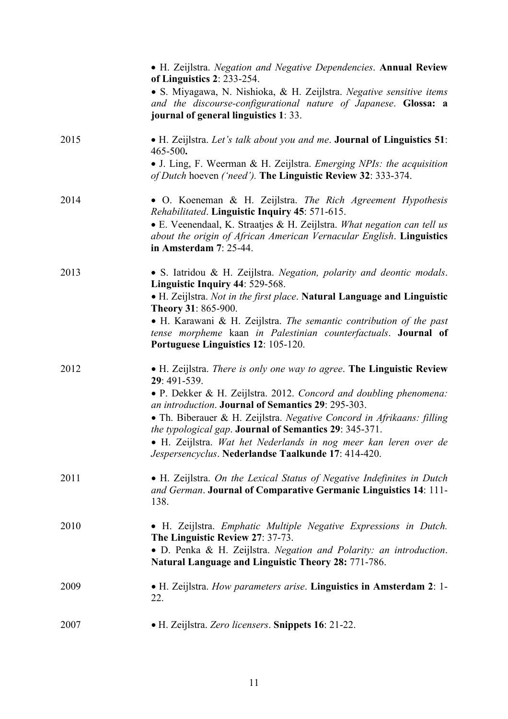|      | • H. Zeijlstra. Negation and Negative Dependencies. Annual Review<br>of Linguistics $2: 233-254$ .<br>• S. Miyagawa, N. Nishioka, & H. Zeijlstra. Negative sensitive items<br>and the discourse-configurational nature of Japanese. Glossa: a<br>journal of general linguistics 1:33. |
|------|---------------------------------------------------------------------------------------------------------------------------------------------------------------------------------------------------------------------------------------------------------------------------------------|
| 2015 | • H. Zeijlstra. Let's talk about you and me. Journal of Linguistics 51:<br>465-500.<br>• J. Ling, F. Weerman & H. Zeijlstra. Emerging NPIs: the acquisition                                                                                                                           |
|      | of Dutch hoeven ('need'). The Linguistic Review 32: 333-374.                                                                                                                                                                                                                          |
| 2014 | • O. Koeneman & H. Zeijlstra. The Rich Agreement Hypothesis<br>Rehabilitated. Linguistic Inquiry 45: 571-615.<br>• E. Veenendaal, K. Straatjes & H. Zeijlstra. What negation can tell us<br>about the origin of African American Vernacular English. Linguistics                      |
|      | in Amsterdam 7: 25-44.                                                                                                                                                                                                                                                                |
| 2013 | • S. Iatridou & H. Zeijlstra. Negation, polarity and deontic modals.<br>Linguistic Inquiry 44: 529-568.                                                                                                                                                                               |
|      | • H. Zeijlstra. Not in the first place. Natural Language and Linguistic<br>Theory 31: 865-900.                                                                                                                                                                                        |
|      | • H. Karawani & H. Zeijlstra. The semantic contribution of the past<br>tense morpheme kaan in Palestinian counterfactuals. Journal of<br>Portuguese Linguistics 12: 105-120.                                                                                                          |
| 2012 | • H. Zeijlstra. There is only one way to agree. The Linguistic Review<br>29: 491-539.                                                                                                                                                                                                 |
|      | • P. Dekker & H. Zeijlstra. 2012. Concord and doubling phenomena:<br>an introduction. Journal of Semantics 29: 295-303.                                                                                                                                                               |
|      | • Th. Biberauer & H. Zeijlstra. Negative Concord in Afrikaans: filling<br>the typological gap. Journal of Semantics 29: 345-371.                                                                                                                                                      |
|      | · H. Zeijlstra. Wat het Nederlands in nog meer kan leren over de<br>Jespersencyclus. Nederlandse Taalkunde 17: 414-420.                                                                                                                                                               |
| 2011 | • H. Zeijlstra. On the Lexical Status of Negative Indefinites in Dutch<br>and German. Journal of Comparative Germanic Linguistics 14: 111-<br>138.                                                                                                                                    |
| 2010 | • H. Zeijlstra. Emphatic Multiple Negative Expressions in Dutch.<br>The Linguistic Review 27: 37-73.                                                                                                                                                                                  |
|      | • D. Penka & H. Zeijlstra. Negation and Polarity: an introduction.<br>Natural Language and Linguistic Theory 28: 771-786.                                                                                                                                                             |
| 2009 | • H. Zeijlstra. How parameters arise. Linguistics in Amsterdam 2: 1-<br>22.                                                                                                                                                                                                           |
| 2007 | • H. Zeijlstra. Zero licensers. Snippets 16: 21-22.                                                                                                                                                                                                                                   |
|      |                                                                                                                                                                                                                                                                                       |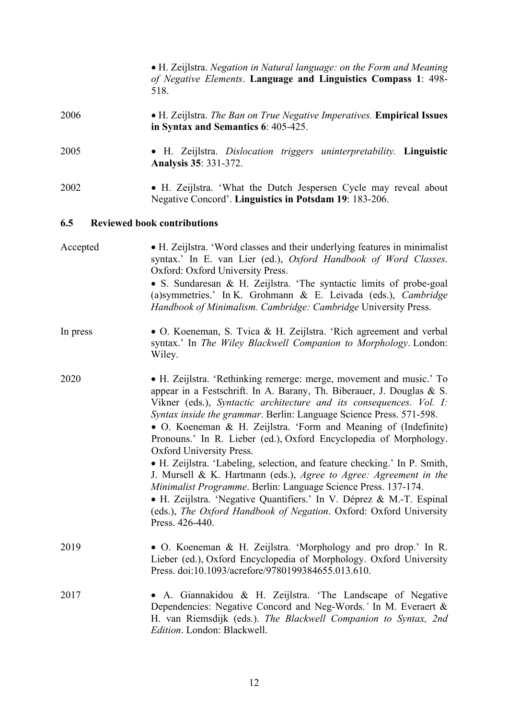• H. Zeijlstra. *Negation in Natural language: on the Form and Meaning of Negative Elements*. **Language and Linguistics Compass 1**: 498- 518. 2006 • H. Zeijlstra. *The Ban on True Negative Imperatives.* **Empirical Issues** 

2005 • H. Zeijlstra. *Dislocation triggers uninterpretability.* **Linguistic** 

**in Syntax and Semantics 6**: 405-425.

**Analysis 35**: 331-372.

2002 • H. Zeijlstra. 'What the Dutch Jespersen Cycle may reveal about Negative Concord'. **Linguistics in Potsdam 19**: 183-206.

#### **6.5 Reviewed book contributions**

- Accepted H. Zeijlstra. 'Word classes and their underlying features in minimalist syntax.' In E. van Lier (ed.), *Oxford Handbook of Word Classes*. Oxford: Oxford University Press. • S. Sundaresan & H. Zeijlstra. 'The syntactic limits of probe-goal (a)symmetries.' In K. Grohmann & E. Leivada (eds.), *Cambridge Handbook of Minimalism. Cambridge: Cambridge* University Press.
- In press O. Koeneman, S. Tvica & H. Zeijlstra. 'Rich agreement and verbal syntax.' In *The Wiley Blackwell Companion to Morphology*. London: Wiley.
- 2020 H. Zeijlstra. 'Rethinking remerge: merge, movement and music.' To appear in a Festschrift. In A. Barany, Th. Biberauer, J. Douglas & S. Vikner (eds.), *Syntactic architecture and its consequences. Vol. I: Syntax inside the grammar*. Berlin: Language Science Press. 571-598. • O. Koeneman & H. Zeijlstra. 'Form and Meaning of (Indefinite) Pronouns.' In R. Lieber (ed.), Oxford Encyclopedia of Morphology. Oxford University Press. • H. Zeijlstra. 'Labeling, selection, and feature checking.' In P. Smith, J. Mursell & K. Hartmann (eds.), *Agree to Agree: Agreement in the*

*Minimalist Programme*. Berlin: Language Science Press. 137-174. • H. Zeijlstra. 'Negative Quantifiers.' In V. Déprez & M.-T. Espinal (eds.), *The Oxford Handbook of Negation*. Oxford: Oxford University Press. 426-440.

- 2019 O. Koeneman & H. Zeijlstra. 'Morphology and pro drop.' In R. Lieber (ed.), Oxford Encyclopedia of Morphology. Oxford University Press. doi:10.1093/acrefore/9780199384655.013.610.
- 2017 A. Giannakidou & H. Zeijlstra. 'The Landscape of Negative Dependencies: Negative Concord and Neg-Words.*'* In M. Everaert & H. van Riemsdijk (eds.). *The Blackwell Companion to Syntax, 2nd Edition*. London: Blackwell.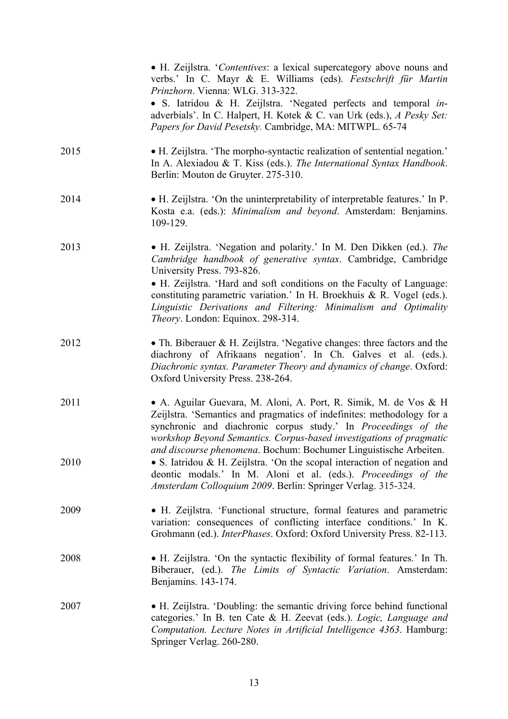|      | • H. Zeijlstra. 'Contentives: a lexical supercategory above nouns and<br>verbs.' In C. Mayr & E. Williams (eds). Festschrift für Martin<br>Prinzhorn. Vienna: WLG. 313-322.                                                                                                                                                                                                                                                    |
|------|--------------------------------------------------------------------------------------------------------------------------------------------------------------------------------------------------------------------------------------------------------------------------------------------------------------------------------------------------------------------------------------------------------------------------------|
|      | • S. Iatridou & H. Zeijlstra. 'Negated perfects and temporal in-<br>adverbials'. In C. Halpert, H. Kotek & C. van Urk (eds.), A Pesky Set:<br>Papers for David Pesetsky. Cambridge, MA: MITWPL. 65-74                                                                                                                                                                                                                          |
| 2015 | • H. Zeijlstra. 'The morpho-syntactic realization of sentential negation.'<br>In A. Alexiadou & T. Kiss (eds.). The International Syntax Handbook.<br>Berlin: Mouton de Gruyter. 275-310.                                                                                                                                                                                                                                      |
| 2014 | • H. Zeijlstra. 'On the uninterpretability of interpretable features.' In P.<br>Kosta e.a. (eds.): Minimalism and beyond. Amsterdam: Benjamins.<br>109-129.                                                                                                                                                                                                                                                                    |
| 2013 | • H. Zeijlstra. 'Negation and polarity.' In M. Den Dikken (ed.). The<br>Cambridge handbook of generative syntax. Cambridge, Cambridge<br>University Press. 793-826.<br>• H. Zeijlstra. 'Hard and soft conditions on the Faculty of Language:<br>constituting parametric variation.' In H. Broekhuis & R. Vogel (eds.).<br>Linguistic Derivations and Filtering: Minimalism and Optimality<br>Theory. London: Equinox. 298-314. |
| 2012 | • Th. Biberauer & H. Zeijlstra. 'Negative changes: three factors and the<br>diachrony of Afrikaans negation'. In Ch. Galves et al. (eds.).<br>Diachronic syntax. Parameter Theory and dynamics of change. Oxford:<br>Oxford University Press. 238-264.                                                                                                                                                                         |
| 2011 | • A. Aguilar Guevara, M. Aloni, A. Port, R. Simik, M. de Vos & H<br>Zeijlstra. 'Semantics and pragmatics of indefinites: methodology for a<br>synchronic and diachronic corpus study.' In Proceedings of the<br>workshop Beyond Semantics. Corpus-based investigations of pragmatic<br>and discourse phenomena. Bochum: Bochumer Linguistische Arbeiten.                                                                       |
| 2010 | • S. Iatridou & H. Zeijlstra. 'On the scopal interaction of negation and<br>deontic modals.' In M. Aloni et al. (eds.). Proceedings of the<br>Amsterdam Colloquium 2009. Berlin: Springer Verlag. 315-324.                                                                                                                                                                                                                     |
| 2009 | • H. Zeijlstra. 'Functional structure, formal features and parametric<br>variation: consequences of conflicting interface conditions.' In K.<br>Grohmann (ed.). InterPhases. Oxford: Oxford University Press. 82-113.                                                                                                                                                                                                          |
| 2008 | • H. Zeijlstra. 'On the syntactic flexibility of formal features.' In Th.<br>Biberauer, (ed.). The Limits of Syntactic Variation. Amsterdam:<br>Benjamins. 143-174.                                                                                                                                                                                                                                                            |
| 2007 | • H. Zeijlstra. 'Doubling: the semantic driving force behind functional<br>categories.' In B. ten Cate & H. Zeevat (eds.). Logic, Language and<br>Computation. Lecture Notes in Artificial Intelligence 4363. Hamburg:<br>Springer Verlag. 260-280.                                                                                                                                                                            |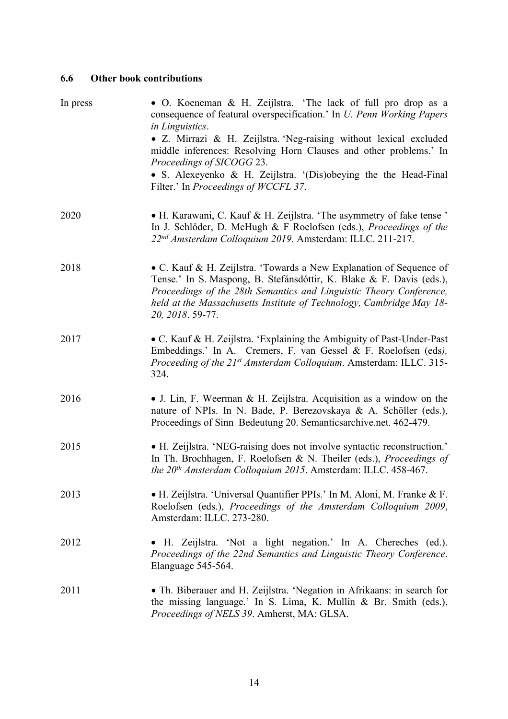## **6.6 Other book contributions**

| In press | · O. Koeneman & H. Zeijlstra. 'The lack of full pro drop as a<br>consequence of featural overspecification.' In <i>U. Penn Working Papers</i><br>in Linguistics.<br>• Z. Mirrazi & H. Zeijlstra. 'Neg-raising without lexical excluded<br>middle inferences: Resolving Horn Clauses and other problems.' In<br>Proceedings of SICOGG 23.<br>· S. Alexeyenko & H. Zeijlstra. '(Dis)obeying the the Head-Final<br>Filter.' In <i>Proceedings of WCCFL 37</i> . |
|----------|--------------------------------------------------------------------------------------------------------------------------------------------------------------------------------------------------------------------------------------------------------------------------------------------------------------------------------------------------------------------------------------------------------------------------------------------------------------|
| 2020     | • H. Karawani, C. Kauf & H. Zeijlstra. 'The asymmetry of fake tense'<br>In J. Schlöder, D. McHugh & F Roelofsen (eds.), Proceedings of the<br>22 <sup>nd</sup> Amsterdam Colloquium 2019. Amsterdam: ILLC. 211-217.                                                                                                                                                                                                                                          |
| 2018     | • C. Kauf & H. Zeijlstra. 'Towards a New Explanation of Sequence of<br>Tense.' In S. Maspong, B. Stefánsdóttir, K. Blake & F. Davis (eds.),<br>Proceedings of the 28th Semantics and Linguistic Theory Conference,<br>held at the Massachusetts Institute of Technology, Cambridge May 18-<br>20, 2018. 59-77.                                                                                                                                               |
| 2017     | • C. Kauf & H. Zeijlstra. 'Explaining the Ambiguity of Past-Under-Past<br>Embeddings.' In A. Cremers, F. van Gessel & F. Roelofsen (eds),<br>Proceeding of the 21st Amsterdam Colloquium. Amsterdam: ILLC. 315-<br>324.                                                                                                                                                                                                                                      |
| 2016     | • J. Lin, F. Weerman & H. Zeijlstra. Acquisition as a window on the<br>nature of NPIs. In N. Bade, P. Berezovskaya & A. Schöller (eds.),<br>Proceedings of Sinn Bedeutung 20. Semanticsarchive.net. 462-479.                                                                                                                                                                                                                                                 |
| 2015     | • H. Zeijlstra. 'NEG-raising does not involve syntactic reconstruction.'<br>In Th. Brochhagen, F. Roelofsen & N. Theiler (eds.), Proceedings of<br>the $20th$ Amsterdam Colloquium 2015. Amsterdam: ILLC. 458-467.                                                                                                                                                                                                                                           |
| 2013     | • H. Zeijlstra. 'Universal Quantifier PPIs.' In M. Aloni, M. Franke & F.<br>Roelofsen (eds.), Proceedings of the Amsterdam Colloquium 2009,<br>Amsterdam: ILLC. 273-280.                                                                                                                                                                                                                                                                                     |
| 2012     | • H. Zeijlstra. 'Not a light negation.' In A. Chereches (ed.).<br>Proceedings of the 22nd Semantics and Linguistic Theory Conference.<br>Elanguage 545-564.                                                                                                                                                                                                                                                                                                  |
| 2011     | • Th. Biberauer and H. Zeijlstra. 'Negation in Afrikaans: in search for<br>the missing language.' In S. Lima, K. Mullin & Br. Smith (eds.),<br>Proceedings of NELS 39. Amherst, MA: GLSA.                                                                                                                                                                                                                                                                    |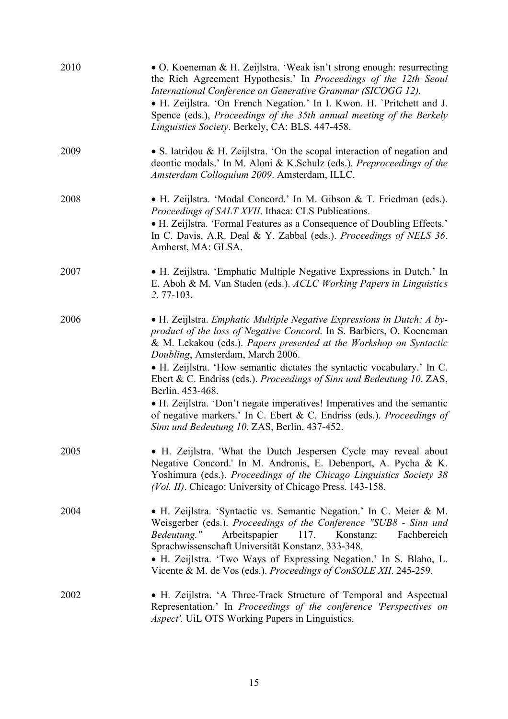| 2010 | • O. Koeneman & H. Zeijlstra. 'Weak isn't strong enough: resurrecting<br>the Rich Agreement Hypothesis.' In Proceedings of the 12th Seoul<br>International Conference on Generative Grammar (SICOGG 12).<br>• H. Zeijlstra. 'On French Negation.' In I. Kwon. H. 'Pritchett and J.<br>Spence (eds.), Proceedings of the 35th annual meeting of the Berkely<br>Linguistics Society. Berkely, CA: BLS. 447-458.                                                                                                                                                                                                                               |
|------|---------------------------------------------------------------------------------------------------------------------------------------------------------------------------------------------------------------------------------------------------------------------------------------------------------------------------------------------------------------------------------------------------------------------------------------------------------------------------------------------------------------------------------------------------------------------------------------------------------------------------------------------|
| 2009 | • S. Iatridou & H. Zeijlstra. 'On the scopal interaction of negation and<br>deontic modals.' In M. Aloni & K.Schulz (eds.). Preproceedings of the<br>Amsterdam Colloquium 2009. Amsterdam, ILLC.                                                                                                                                                                                                                                                                                                                                                                                                                                            |
| 2008 | • H. Zeijlstra. 'Modal Concord.' In M. Gibson & T. Friedman (eds.).<br>Proceedings of SALT XVII. Ithaca: CLS Publications.<br>• H. Zeijlstra. 'Formal Features as a Consequence of Doubling Effects.'<br>In C. Davis, A.R. Deal & Y. Zabbal (eds.). Proceedings of NELS 36.<br>Amherst, MA: GLSA.                                                                                                                                                                                                                                                                                                                                           |
| 2007 | • H. Zeijlstra. 'Emphatic Multiple Negative Expressions in Dutch.' In<br>E. Aboh & M. Van Staden (eds.). ACLC Working Papers in Linguistics<br>2.77-103.                                                                                                                                                                                                                                                                                                                                                                                                                                                                                    |
| 2006 | • H. Zeijlstra. <i>Emphatic Multiple Negative Expressions in Dutch: A by-</i><br>product of the loss of Negative Concord. In S. Barbiers, O. Koeneman<br>& M. Lekakou (eds.). Papers presented at the Workshop on Syntactic<br>Doubling, Amsterdam, March 2006.<br>• H. Zeijlstra. 'How semantic dictates the syntactic vocabulary.' In C.<br>Ebert & C. Endriss (eds.). Proceedings of Sinn und Bedeutung 10. ZAS,<br>Berlin. 453-468.<br>• H. Zeijlstra. 'Don't negate imperatives! Imperatives and the semantic<br>of negative markers.' In C. Ebert & C. Endriss (eds.). Proceedings of<br>Sinn und Bedeutung 10. ZAS, Berlin. 437-452. |
| 2005 | • H. Zeijlstra. 'What the Dutch Jespersen Cycle may reveal about<br>Negative Concord.' In M. Andronis, E. Debenport, A. Pycha & K.<br>Yoshimura (eds.). Proceedings of the Chicago Linguistics Society 38<br>(Vol. II). Chicago: University of Chicago Press. 143-158.                                                                                                                                                                                                                                                                                                                                                                      |
| 2004 | • H. Zeijlstra. 'Syntactic vs. Semantic Negation.' In C. Meier & M.<br>Weisgerber (eds.). Proceedings of the Conference "SUB8 - Sinn und<br>117.<br>Bedeutung."<br>Arbeitspapier<br>Konstanz:<br>Fachbereich<br>Sprachwissenschaft Universität Konstanz. 333-348.<br>· H. Zeijlstra. 'Two Ways of Expressing Negation.' In S. Blaho, L.<br>Vicente & M. de Vos (eds.). Proceedings of ConSOLE XII. 245-259.                                                                                                                                                                                                                                 |
| 2002 | • H. Zeijlstra. 'A Three-Track Structure of Temporal and Aspectual<br>Representation.' In Proceedings of the conference 'Perspectives on<br>Aspect'. UiL OTS Working Papers in Linguistics.                                                                                                                                                                                                                                                                                                                                                                                                                                                 |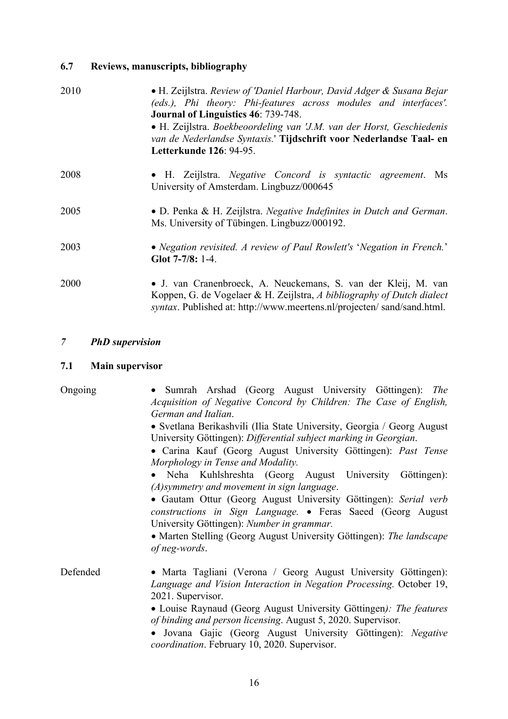# **6.7 Reviews, manuscripts, bibliography**

| 2010 | • H. Zeijlstra. Review of 'Daniel Harbour, David Adger & Susana Bejar<br>(eds.), Phi theory: Phi-features across modules and interfaces'.<br>Journal of Linguistics 46: 739-748.<br>• H. Zeijlstra. Boekbeoordeling van 'J.M. van der Horst, Geschiedenis<br>van de Nederlandse Syntaxis.' Tijdschrift voor Nederlandse Taal- en<br>Letterkunde 126: 94-95. |
|------|-------------------------------------------------------------------------------------------------------------------------------------------------------------------------------------------------------------------------------------------------------------------------------------------------------------------------------------------------------------|
| 2008 | • H. Zeijlstra. Negative Concord is syntactic agreement. Ms<br>University of Amsterdam. Lingbuzz/000645                                                                                                                                                                                                                                                     |
| 2005 | • D. Penka & H. Zeijlstra. Negative Indefinites in Dutch and German.<br>Ms. University of Tübingen. Lingbuzz/000192.                                                                                                                                                                                                                                        |
| 2003 | • Negation revisited. A review of Paul Rowlett's 'Negation in French.'<br>Glot 7-7/8: 1-4.                                                                                                                                                                                                                                                                  |
| 2000 | • J. van Cranenbroeck, A. Neuckemans, S. van der Kleij, M. van<br>Koppen, G. de Vogelaer & H. Zeijlstra, A bibliography of Dutch dialect<br>syntax. Published at: http://www.meertens.nl/projecten/sand/sand.html.                                                                                                                                          |

## *7 PhD supervision*

# **7.1 Main supervisor**

| Ongoing  | · Sumrah Arshad (Georg August University Göttingen): The<br>Acquisition of Negative Concord by Children: The Case of English,<br>German and Italian.<br>• Svetlana Berikashvili (Ilia State University, Georgia / Georg August<br>University Göttingen): Differential subject marking in Georgian.<br>• Carina Kauf (Georg August University Göttingen): Past Tense<br>Morphology in Tense and Modality.         |
|----------|------------------------------------------------------------------------------------------------------------------------------------------------------------------------------------------------------------------------------------------------------------------------------------------------------------------------------------------------------------------------------------------------------------------|
|          | · Neha Kuhlshreshta (Georg August University Göttingen):<br>$(A)$ symmetry and movement in sign language.<br>• Gautam Ottur (Georg August University Göttingen): Serial verb<br>constructions in Sign Language. • Feras Saeed (Georg August<br>University Göttingen): Number in grammar.<br>• Marten Stelling (Georg August University Göttingen): The landscape<br>of neg-words.                                |
| Defended | • Marta Tagliani (Verona / Georg August University Göttingen):<br>Language and Vision Interaction in Negation Processing. October 19,<br>2021. Supervisor.<br>• Louise Raynaud (Georg August University Göttingen): The features<br>of binding and person licensing. August 5, 2020. Supervisor.<br>· Jovana Gajic (Georg August University Göttingen): Negative<br>coordination. February 10, 2020. Supervisor. |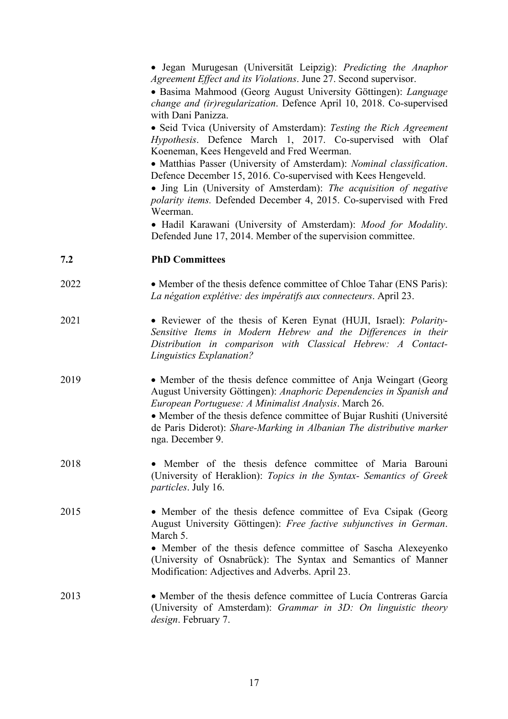|      | • Jegan Murugesan (Universität Leipzig): Predicting the Anaphor<br>Agreement Effect and its Violations. June 27. Second supervisor.<br>· Basima Mahmood (Georg August University Göttingen): Language<br>change and (ir) regularization. Defence April 10, 2018. Co-supervised<br>with Dani Panizza.<br>· Seid Tvica (University of Amsterdam): Testing the Rich Agreement<br>Hypothesis. Defence March 1, 2017. Co-supervised with Olaf<br>Koeneman, Kees Hengeveld and Fred Weerman.<br>• Matthias Passer (University of Amsterdam): Nominal classification.<br>Defence December 15, 2016. Co-supervised with Kees Hengeveld.<br>• Jing Lin (University of Amsterdam): The acquisition of negative<br>polarity items. Defended December 4, 2015. Co-supervised with Fred<br>Weerman.<br>· Hadil Karawani (University of Amsterdam): Mood for Modality.<br>Defended June 17, 2014. Member of the supervision committee. |
|------|--------------------------------------------------------------------------------------------------------------------------------------------------------------------------------------------------------------------------------------------------------------------------------------------------------------------------------------------------------------------------------------------------------------------------------------------------------------------------------------------------------------------------------------------------------------------------------------------------------------------------------------------------------------------------------------------------------------------------------------------------------------------------------------------------------------------------------------------------------------------------------------------------------------------------|
| 7.2  | <b>PhD Committees</b>                                                                                                                                                                                                                                                                                                                                                                                                                                                                                                                                                                                                                                                                                                                                                                                                                                                                                                    |
| 2022 | • Member of the thesis defence committee of Chloe Tahar (ENS Paris):<br>La négation explétive: des impératifs aux connecteurs. April 23.                                                                                                                                                                                                                                                                                                                                                                                                                                                                                                                                                                                                                                                                                                                                                                                 |
| 2021 | • Reviewer of the thesis of Keren Eynat (HUJI, Israel): Polarity-<br>Sensitive Items in Modern Hebrew and the Differences in their<br>Distribution in comparison with Classical Hebrew: A Contact-<br>Linguistics Explanation?                                                                                                                                                                                                                                                                                                                                                                                                                                                                                                                                                                                                                                                                                           |
| 2019 | • Member of the thesis defence committee of Anja Weingart (Georg<br>August University Göttingen): Anaphoric Dependencies in Spanish and<br>European Portuguese: A Minimalist Analysis. March 26.<br>• Member of the thesis defence committee of Bujar Rushiti (Université<br>de Paris Diderot): Share-Marking in Albanian The distributive marker<br>nga. December 9.                                                                                                                                                                                                                                                                                                                                                                                                                                                                                                                                                    |
| 2018 | • Member of the thesis defence committee of Maria Barouni<br>(University of Heraklion): Topics in the Syntax- Semantics of Greek<br><i>particles.</i> July 16.                                                                                                                                                                                                                                                                                                                                                                                                                                                                                                                                                                                                                                                                                                                                                           |
| 2015 | • Member of the thesis defence committee of Eva Csipak (Georg<br>August University Göttingen): Free factive subjunctives in German.<br>March 5.<br>• Member of the thesis defence committee of Sascha Alexeyenko<br>(University of Osnabrück): The Syntax and Semantics of Manner<br>Modification: Adjectives and Adverbs. April 23.                                                                                                                                                                                                                                                                                                                                                                                                                                                                                                                                                                                     |
| 2013 | • Member of the thesis defence committee of Lucía Contreras García<br>(University of Amsterdam): Grammar in 3D: On linguistic theory<br><i>design</i> . February 7.                                                                                                                                                                                                                                                                                                                                                                                                                                                                                                                                                                                                                                                                                                                                                      |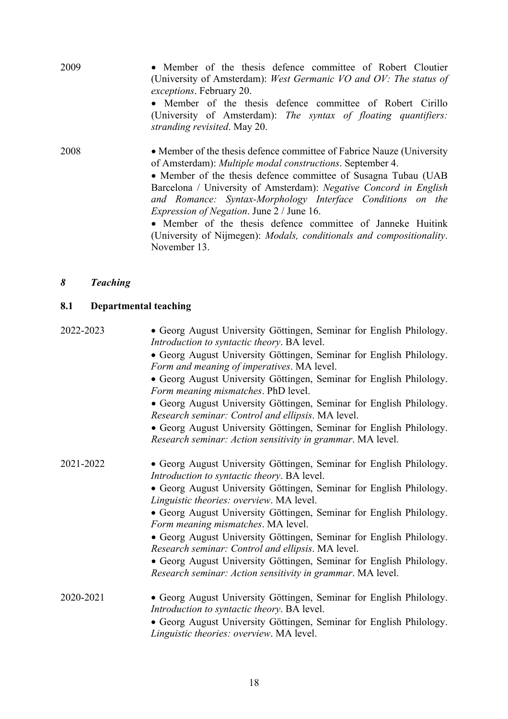| 2009 | • Member of the thesis defence committee of Robert Cloutier<br>(University of Amsterdam): West Germanic VO and OV: The status of<br><i>exceptions.</i> February 20.<br>• Member of the thesis defence committee of Robert Cirillo<br>(University of Amsterdam): The syntax of floating quantifiers:                                                                                                 |
|------|-----------------------------------------------------------------------------------------------------------------------------------------------------------------------------------------------------------------------------------------------------------------------------------------------------------------------------------------------------------------------------------------------------|
|      | stranding revisited. May 20.                                                                                                                                                                                                                                                                                                                                                                        |
| 2008 | • Member of the thesis defence committee of Fabrice Nauze (University<br>of Amsterdam): <i>Multiple modal constructions</i> . September 4.<br>• Member of the thesis defence committee of Susagna Tubau (UAB<br>Barcelona / University of Amsterdam): Negative Concord in English<br>and Romance: Syntax-Morphology Interface Conditions on the<br><i>Expression of Negation.</i> June 2 / June 16. |
|      | • Member of the thesis defence committee of Janneke Huitink                                                                                                                                                                                                                                                                                                                                         |

(University of Nijmegen): *Modals, conditionals and compositionality*. November 13.

#### *8 Teaching*

#### **8.1 Departmental teaching**

2022-2023 • Georg August University Göttingen, Seminar for English Philology. *Introduction to syntactic theory*. BA level.

> • Georg August University Göttingen, Seminar for English Philology. *Form and meaning of imperatives*. MA level.

> • Georg August University Göttingen, Seminar for English Philology. *Form meaning mismatches*. PhD level.

> • Georg August University Göttingen, Seminar for English Philology. *Research seminar: Control and ellipsis*. MA level.

> • Georg August University Göttingen, Seminar for English Philology. *Research seminar: Action sensitivity in grammar*. MA level.

2021-2022 • Georg August University Göttingen, Seminar for English Philology. *Introduction to syntactic theory*. BA level.

> • Georg August University Göttingen, Seminar for English Philology. *Linguistic theories: overview*. MA level.

> • Georg August University Göttingen, Seminar for English Philology. *Form meaning mismatches*. MA level.

> • Georg August University Göttingen, Seminar for English Philology. *Research seminar: Control and ellipsis*. MA level.

> • Georg August University Göttingen, Seminar for English Philology. *Research seminar: Action sensitivity in grammar*. MA level.

2020-2021 • Georg August University Göttingen, Seminar for English Philology. *Introduction to syntactic theory*. BA level.

• Georg August University Göttingen, Seminar for English Philology. *Linguistic theories: overview*. MA level.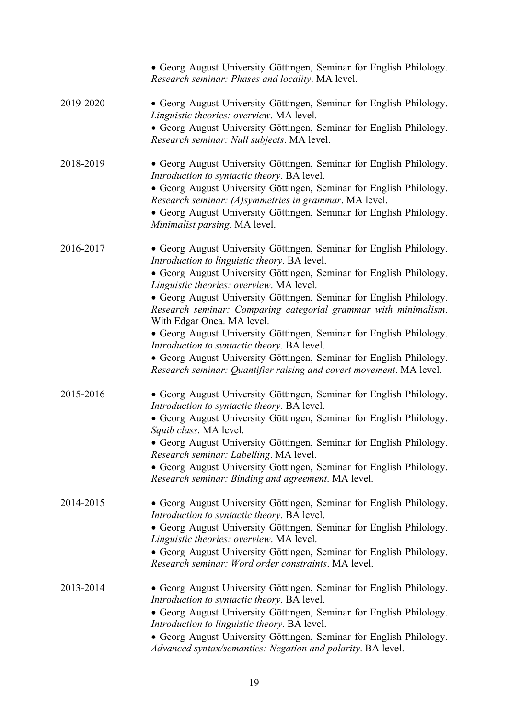|           | · Georg August University Göttingen, Seminar for English Philology.<br>Research seminar: Phases and locality. MA level.                                              |
|-----------|----------------------------------------------------------------------------------------------------------------------------------------------------------------------|
| 2019-2020 | • Georg August University Göttingen, Seminar for English Philology.<br>Linguistic theories: overview. MA level.                                                      |
|           | · Georg August University Göttingen, Seminar for English Philology.<br>Research seminar: Null subjects. MA level.                                                    |
| 2018-2019 | • Georg August University Göttingen, Seminar for English Philology.<br>Introduction to syntactic theory. BA level.                                                   |
|           | · Georg August University Göttingen, Seminar for English Philology.<br>Research seminar: (A)symmetries in grammar. MA level.                                         |
|           | • Georg August University Göttingen, Seminar for English Philology.<br>Minimalist parsing. MA level.                                                                 |
| 2016-2017 | • Georg August University Göttingen, Seminar for English Philology.<br>Introduction to linguistic theory. BA level.                                                  |
|           | · Georg August University Göttingen, Seminar for English Philology.<br>Linguistic theories: overview. MA level.                                                      |
|           | · Georg August University Göttingen, Seminar for English Philology.<br>Research seminar: Comparing categorial grammar with minimalism.<br>With Edgar Onea. MA level. |
|           | · Georg August University Göttingen, Seminar for English Philology.<br>Introduction to syntactic theory. BA level.                                                   |
|           | • Georg August University Göttingen, Seminar for English Philology.<br>Research seminar: Quantifier raising and covert movement. MA level.                           |
| 2015-2016 | • Georg August University Göttingen, Seminar for English Philology.<br>Introduction to syntactic theory. BA level.                                                   |
|           | • Georg August University Göttingen, Seminar for English Philology.<br>Squib class. MA level.                                                                        |
|           | · Georg August University Göttingen, Seminar for English Philology.<br>Research seminar: Labelling. MA level.                                                        |
|           | • Georg August University Göttingen, Seminar for English Philology.<br>Research seminar: Binding and agreement. MA level.                                            |
| 2014-2015 | • Georg August University Göttingen, Seminar for English Philology.<br>Introduction to syntactic theory. BA level.                                                   |
|           | · Georg August University Göttingen, Seminar for English Philology.<br>Linguistic theories: overview. MA level.                                                      |
|           | • Georg August University Göttingen, Seminar for English Philology.<br>Research seminar: Word order constraints. MA level.                                           |
| 2013-2014 | • Georg August University Göttingen, Seminar for English Philology.<br>Introduction to syntactic theory. BA level.                                                   |
|           | • Georg August University Göttingen, Seminar for English Philology.<br>Introduction to linguistic theory. BA level.                                                  |
|           | · Georg August University Göttingen, Seminar for English Philology.<br>Advanced syntax/semantics: Negation and polarity. BA level.                                   |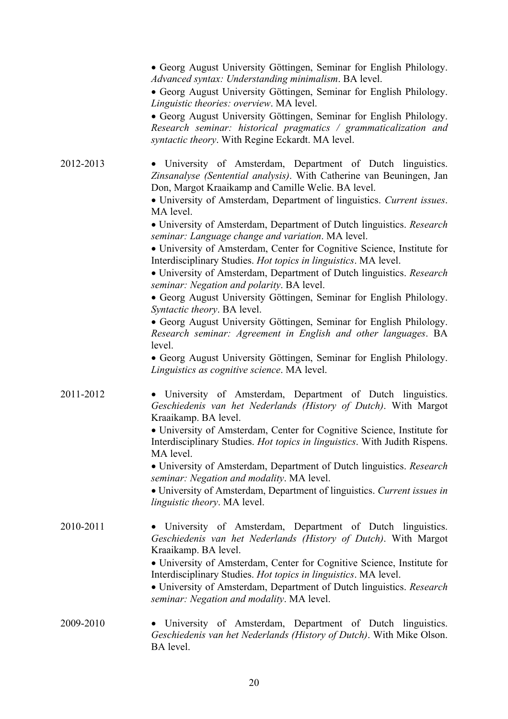|           | • Georg August University Göttingen, Seminar for English Philology.<br>Advanced syntax: Understanding minimalism. BA level.                                                                                                                                                                                                                                                                                                                                                                                                                                                                                                                                                                                                                                                                                                                                                                                                                                                                                                                                   |
|-----------|---------------------------------------------------------------------------------------------------------------------------------------------------------------------------------------------------------------------------------------------------------------------------------------------------------------------------------------------------------------------------------------------------------------------------------------------------------------------------------------------------------------------------------------------------------------------------------------------------------------------------------------------------------------------------------------------------------------------------------------------------------------------------------------------------------------------------------------------------------------------------------------------------------------------------------------------------------------------------------------------------------------------------------------------------------------|
|           | • Georg August University Göttingen, Seminar for English Philology.<br>Linguistic theories: overview. MA level.                                                                                                                                                                                                                                                                                                                                                                                                                                                                                                                                                                                                                                                                                                                                                                                                                                                                                                                                               |
|           | • Georg August University Göttingen, Seminar for English Philology.<br>Research seminar: historical pragmatics / grammaticalization and<br>syntactic theory. With Regine Eckardt. MA level.                                                                                                                                                                                                                                                                                                                                                                                                                                                                                                                                                                                                                                                                                                                                                                                                                                                                   |
| 2012-2013 | • University of Amsterdam, Department of Dutch linguistics.<br>Zinsanalyse (Sentential analysis). With Catherine van Beuningen, Jan<br>Don, Margot Kraaikamp and Camille Welie. BA level.<br>• University of Amsterdam, Department of linguistics. Current issues.<br>MA level.<br>• University of Amsterdam, Department of Dutch linguistics. Research<br>seminar: Language change and variation. MA level.<br>• University of Amsterdam, Center for Cognitive Science, Institute for<br>Interdisciplinary Studies. Hot topics in linguistics. MA level.<br>• University of Amsterdam, Department of Dutch linguistics. Research<br>seminar: Negation and polarity. BA level.<br>· Georg August University Göttingen, Seminar for English Philology.<br>Syntactic theory. BA level.<br>• Georg August University Göttingen, Seminar for English Philology.<br>Research seminar: Agreement in English and other languages. BA<br>level.<br>• Georg August University Göttingen, Seminar for English Philology.<br>Linguistics as cognitive science. MA level. |
| 2011-2012 | • University of Amsterdam, Department of Dutch linguistics.<br>Geschiedenis van het Nederlands (History of Dutch). With Margot<br>Kraaikamp. BA level.<br>• University of Amsterdam, Center for Cognitive Science, Institute for<br>Interdisciplinary Studies. Hot topics in linguistics. With Judith Rispens.<br>MA level.<br>• University of Amsterdam, Department of Dutch linguistics. Research<br>seminar: Negation and modality. MA level.<br>· University of Amsterdam, Department of linguistics. Current issues in<br>linguistic theory. MA level.                                                                                                                                                                                                                                                                                                                                                                                                                                                                                                   |
| 2010-2011 | • University of Amsterdam, Department of Dutch linguistics.<br>Geschiedenis van het Nederlands (History of Dutch). With Margot<br>Kraaikamp. BA level.<br>• University of Amsterdam, Center for Cognitive Science, Institute for<br>Interdisciplinary Studies. Hot topics in linguistics. MA level.<br>• University of Amsterdam, Department of Dutch linguistics. Research<br>seminar: Negation and modality. MA level.                                                                                                                                                                                                                                                                                                                                                                                                                                                                                                                                                                                                                                      |
| 2009-2010 | • University of Amsterdam, Department of Dutch linguistics.<br>Geschiedenis van het Nederlands (History of Dutch). With Mike Olson.<br>BA level.                                                                                                                                                                                                                                                                                                                                                                                                                                                                                                                                                                                                                                                                                                                                                                                                                                                                                                              |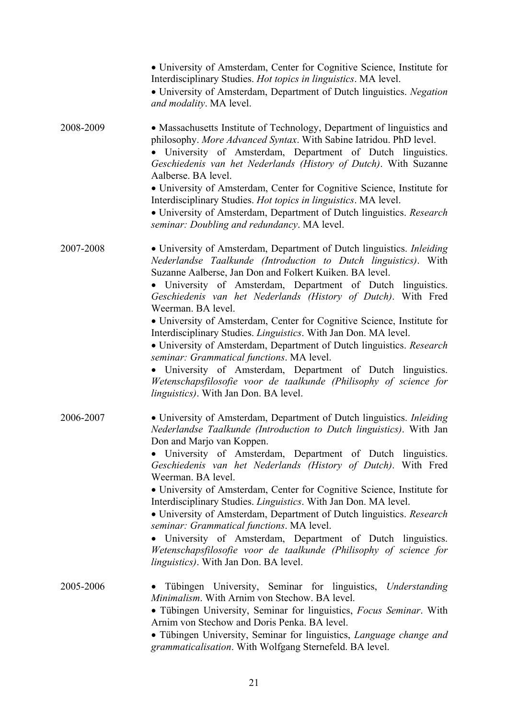|           | • University of Amsterdam, Center for Cognitive Science, Institute for<br>Interdisciplinary Studies. Hot topics in linguistics. MA level.<br>• University of Amsterdam, Department of Dutch linguistics. Negation<br>and modality. MA level.                                                                                                                                                                                                                                                                                                                                                                                                                                                                                                                                                             |
|-----------|----------------------------------------------------------------------------------------------------------------------------------------------------------------------------------------------------------------------------------------------------------------------------------------------------------------------------------------------------------------------------------------------------------------------------------------------------------------------------------------------------------------------------------------------------------------------------------------------------------------------------------------------------------------------------------------------------------------------------------------------------------------------------------------------------------|
| 2008-2009 | • Massachusetts Institute of Technology, Department of linguistics and<br>philosophy. More Advanced Syntax. With Sabine Iatridou. PhD level.<br>· University of Amsterdam, Department of Dutch linguistics.<br>Geschiedenis van het Nederlands (History of Dutch). With Suzanne<br>Aalberse. BA level.<br>• University of Amsterdam, Center for Cognitive Science, Institute for<br>Interdisciplinary Studies. Hot topics in linguistics. MA level.<br>• University of Amsterdam, Department of Dutch linguistics. Research<br>seminar: Doubling and redundancy. MA level.                                                                                                                                                                                                                               |
| 2007-2008 | • University of Amsterdam, Department of Dutch linguistics. Inleiding<br>Nederlandse Taalkunde (Introduction to Dutch linguistics). With<br>Suzanne Aalberse, Jan Don and Folkert Kuiken. BA level.<br>• University of Amsterdam, Department of Dutch linguistics.<br>Geschiedenis van het Nederlands (History of Dutch). With Fred<br>Weerman. BA level.<br>• University of Amsterdam, Center for Cognitive Science, Institute for<br>Interdisciplinary Studies. Linguistics. With Jan Don. MA level.<br>• University of Amsterdam, Department of Dutch linguistics. Research<br>seminar: Grammatical functions. MA level.<br>· University of Amsterdam, Department of Dutch linguistics.<br>Wetenschapsfilosofie voor de taalkunde (Philisophy of science for<br>linguistics). With Jan Don. BA level. |
| 2006-2007 | • University of Amsterdam, Department of Dutch linguistics. Inleiding<br>Nederlandse Taalkunde (Introduction to Dutch linguistics). With Jan<br>Don and Marjo van Koppen.<br>• University of Amsterdam, Department of Dutch linguistics.<br>Geschiedenis van het Nederlands (History of Dutch). With Fred<br>Weerman. BA level.<br>• University of Amsterdam, Center for Cognitive Science, Institute for<br>Interdisciplinary Studies. Linguistics. With Jan Don. MA level.<br>• University of Amsterdam, Department of Dutch linguistics. Research<br>seminar: Grammatical functions. MA level.<br>University of Amsterdam, Department of Dutch linguistics.<br>Wetenschapsfilosofie voor de taalkunde (Philisophy of science for<br><i>linguistics</i> ). With Jan Don. BA level.                     |
| 2005-2006 | Tübingen University, Seminar for linguistics, Understanding<br><i>Minimalism.</i> With Arnim von Stechow. BA level.<br>• Tübingen University, Seminar for linguistics, Focus Seminar. With<br>Arnim von Stechow and Doris Penka. BA level.<br>• Tübingen University, Seminar for linguistics, Language change and<br>grammaticalisation. With Wolfgang Sternefeld. BA level.                                                                                                                                                                                                                                                                                                                                                                                                                             |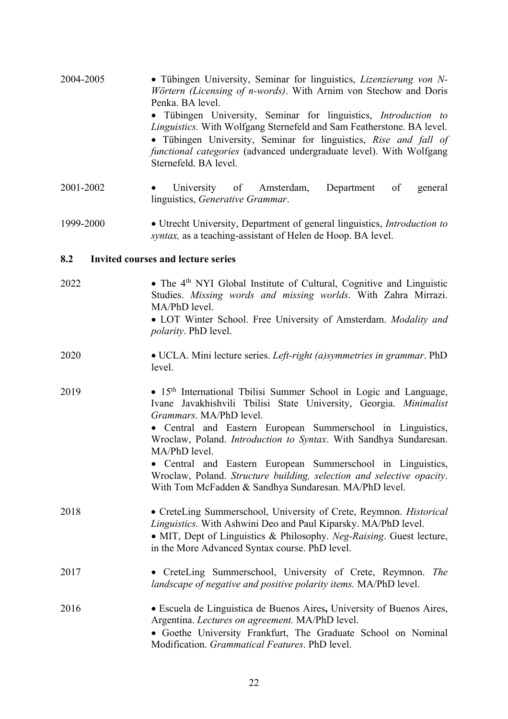| 2004-2005 | • Tübingen University, Seminar for linguistics, <i>Lizenzierung von N</i><br>Wörtern (Licensing of n-words). With Arnim von Stechow and Doris<br>Penka. BA level.<br>Tübingen University, Seminar for linguistics, Introduction to<br>$\bullet$<br>Linguistics. With Wolfgang Sternefeld and Sam Featherstone. BA level.<br>• Tübingen University, Seminar for linguistics, Rise and fall of<br>functional categories (advanced undergraduate level). With Wolfgang<br>Sternefeld. BA level.                                        |
|-----------|-------------------------------------------------------------------------------------------------------------------------------------------------------------------------------------------------------------------------------------------------------------------------------------------------------------------------------------------------------------------------------------------------------------------------------------------------------------------------------------------------------------------------------------|
| 2001-2002 | University of<br>Amsterdam,<br>Department<br>general<br>of<br>linguistics, Generative Grammar.                                                                                                                                                                                                                                                                                                                                                                                                                                      |
| 1999-2000 | • Utrecht University, Department of general linguistics, Introduction to<br>syntax, as a teaching-assistant of Helen de Hoop. BA level.                                                                                                                                                                                                                                                                                                                                                                                             |
| 8.2       | <b>Invited courses and lecture series</b>                                                                                                                                                                                                                                                                                                                                                                                                                                                                                           |
| 2022      | • The 4 <sup>th</sup> NYI Global Institute of Cultural, Cognitive and Linguistic<br>Studies. Missing words and missing worlds. With Zahra Mirrazi.<br>MA/PhD level.<br>• LOT Winter School. Free University of Amsterdam. Modality and<br><i>polarity</i> . PhD level.                                                                                                                                                                                                                                                              |
| 2020      | • UCLA. Mini lecture series. Left-right (a)symmetries in grammar. PhD<br>level.                                                                                                                                                                                                                                                                                                                                                                                                                                                     |
| 2019      | · 15 <sup>th</sup> International Tbilisi Summer School in Logic and Language,<br>Ivane Javakhishvili Tbilisi State University, Georgia. Minimalist<br>Grammars. MA/PhD level.<br>• Central and Eastern European Summerschool in Linguistics,<br>Wroclaw, Poland. Introduction to Syntax. With Sandhya Sundaresan.<br>MA/PhD level.<br>• Central and Eastern European Summerschool in Linguistics,<br>Wroclaw, Poland. Structure building, selection and selective opacity.<br>With Tom McFadden & Sandhya Sundaresan. MA/PhD level. |
| 2018      | • CreteLing Summerschool, University of Crete, Reymnon. Historical<br>Linguistics. With Ashwini Deo and Paul Kiparsky. MA/PhD level.<br>• MIT, Dept of Linguistics & Philosophy. Neg-Raising. Guest lecture,<br>in the More Advanced Syntax course. PhD level.                                                                                                                                                                                                                                                                      |
| 2017      | • CreteLing Summerschool, University of Crete, Reymnon. The<br>landscape of negative and positive polarity items. MA/PhD level.                                                                                                                                                                                                                                                                                                                                                                                                     |
| 2016      | · Escuela de Linguistica de Buenos Aires, University of Buenos Aires,<br>Argentina. Lectures on agreement. MA/PhD level.<br>• Goethe University Frankfurt, The Graduate School on Nominal<br>Modification. Grammatical Features. PhD level.                                                                                                                                                                                                                                                                                         |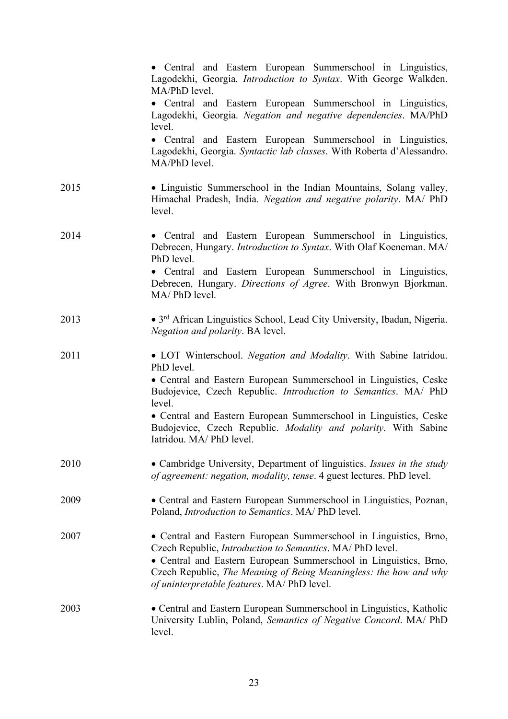|      | • Central and Eastern European Summerschool in Linguistics,<br>Lagodekhi, Georgia. Introduction to Syntax. With George Walkden.<br>MA/PhD level.                                                                                                                                                                        |
|------|-------------------------------------------------------------------------------------------------------------------------------------------------------------------------------------------------------------------------------------------------------------------------------------------------------------------------|
|      | • Central and Eastern European Summerschool in Linguistics,<br>Lagodekhi, Georgia. Negation and negative dependencies. MA/PhD<br>level.                                                                                                                                                                                 |
|      | • Central and Eastern European Summerschool in Linguistics,<br>Lagodekhi, Georgia. Syntactic lab classes. With Roberta d'Alessandro.<br>MA/PhD level.                                                                                                                                                                   |
| 2015 | • Linguistic Summerschool in the Indian Mountains, Solang valley,<br>Himachal Pradesh, India. Negation and negative polarity. MA/ PhD<br>level.                                                                                                                                                                         |
| 2014 | • Central and Eastern European Summerschool in Linguistics,<br>Debrecen, Hungary. Introduction to Syntax. With Olaf Koeneman. MA/<br>PhD level.                                                                                                                                                                         |
|      | • Central and Eastern European Summerschool in Linguistics,<br>Debrecen, Hungary. Directions of Agree. With Bronwyn Bjorkman.<br>MA/PhD level.                                                                                                                                                                          |
| 2013 | • 3 <sup>rd</sup> African Linguistics School, Lead City University, Ibadan, Nigeria.<br>Negation and polarity. BA level.                                                                                                                                                                                                |
| 2011 | • LOT Winterschool. Negation and Modality. With Sabine Iatridou.<br>PhD level.                                                                                                                                                                                                                                          |
|      | • Central and Eastern European Summerschool in Linguistics, Ceske<br>Budojevice, Czech Republic. Introduction to Semantics. MA/ PhD<br>level.                                                                                                                                                                           |
|      | • Central and Eastern European Summerschool in Linguistics, Ceske<br>Budojevice, Czech Republic. Modality and polarity. With Sabine<br>Iatridou. MA/ PhD level.                                                                                                                                                         |
| 2010 | • Cambridge University, Department of linguistics. Issues in the study<br>of agreement: negation, modality, tense. 4 guest lectures. PhD level.                                                                                                                                                                         |
| 2009 | • Central and Eastern European Summerschool in Linguistics, Poznan,<br>Poland, Introduction to Semantics. MA/ PhD level.                                                                                                                                                                                                |
| 2007 | • Central and Eastern European Summerschool in Linguistics, Brno,<br>Czech Republic, Introduction to Semantics. MA/ PhD level.<br>• Central and Eastern European Summerschool in Linguistics, Brno,<br>Czech Republic, The Meaning of Being Meaningless: the how and why<br>of uninterpretable features. MA/ PhD level. |
| 2003 | • Central and Eastern European Summerschool in Linguistics, Katholic<br>University Lublin, Poland, Semantics of Negative Concord. MA/ PhD<br>level.                                                                                                                                                                     |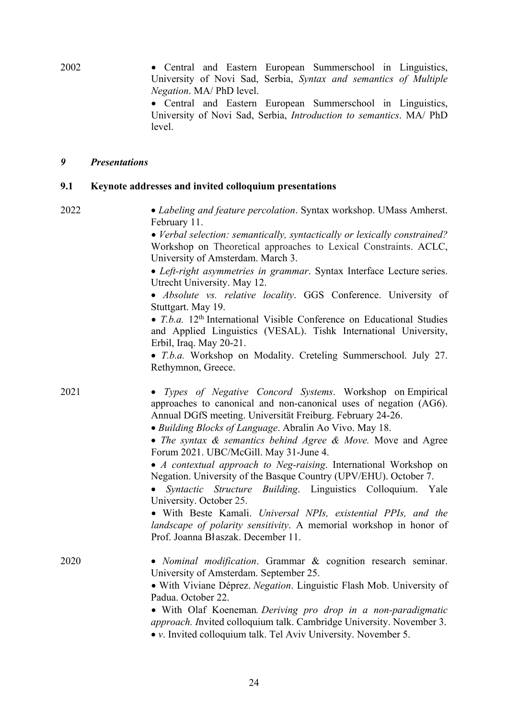2002 • Central and Eastern European Summerschool in Linguistics, University of Novi Sad, Serbia, *Syntax and semantics of Multiple Negation*. MA/ PhD level.

• Central and Eastern European Summerschool in Linguistics, University of Novi Sad, Serbia, *Introduction to semantics*. MA/ PhD level.

#### *9 Presentations*

#### **9.1 Keynote addresses and invited colloquium presentations**

2022 • *Labeling and feature percolation*. Syntax workshop. UMass Amherst. February 11.

> • *Verbal selection: semantically, syntactically or lexically constrained?* Workshop on Theoretical approaches to Lexical Constraints. ACLC, University of Amsterdam. March 3.

> • *Left-right asymmetries in grammar*. Syntax Interface Lecture series. Utrecht University. May 12.

> • *Absolute vs. relative locality*. GGS Conference. University of Stuttgart. May 19.

> • *T.b.a.* 12<sup>th</sup> International Visible Conference on Educational Studies and Applied Linguistics (VESAL). Tishk International University, Erbil, Iraq. May 20-21.

> • *T.b.a.* Workshop on Modality. Creteling Summerschool. July 27. Rethymnon, Greece.

2021 • *Types of Negative Concord Systems*. Workshop on Empirical approaches to canonical and non-canonical uses of negation (AG6). Annual DGfS meeting. Universität Freiburg. February 24-26. • *Building Blocks of Language*. Abralin Ao Vivo. May 18.

> • *The syntax & semantics behind Agree & Move.* Move and Agree Forum 2021. UBC/McGill. May 31-June 4.

> • *A contextual approach to Neg-raising*. International Workshop on Negation. University of the Basque Country (UPV/EHU). October 7.

> • *Syntactic Structure Building*. Linguistics Colloquium. Yale University. October 25.

> • With Beste Kamali. *Universal NPIs, existential PPIs, and the landscape of polarity sensitivity*. A memorial workshop in honor of Prof. Joanna Bł aszak. December 11.

2020 • *Nominal modification*. Grammar & cognition research seminar. University of Amsterdam. September 25.

• With Viviane Déprez. *Negation*. Linguistic Flash Mob. University of Padua. October 22.

• With Olaf Koeneman*. Deriving pro drop in a non-paradigmatic approach. I*nvited colloquium talk. Cambridge University. November 3.

• *v*. Invited colloquium talk. Tel Aviv University. November 5.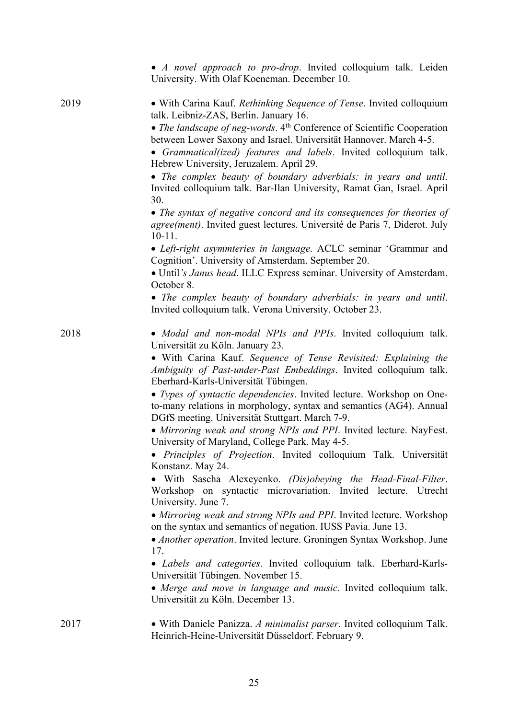|      | • A novel approach to pro-drop. Invited colloquium talk. Leiden<br>University. With Olaf Koeneman. December 10.                                                                                                                                                                                                                                                                                                                                                                                                                                                                                                                                                                                                                                                                                                                                                                                                                                                                                                                                                                                                                                                                                                                                                                                             |
|------|-------------------------------------------------------------------------------------------------------------------------------------------------------------------------------------------------------------------------------------------------------------------------------------------------------------------------------------------------------------------------------------------------------------------------------------------------------------------------------------------------------------------------------------------------------------------------------------------------------------------------------------------------------------------------------------------------------------------------------------------------------------------------------------------------------------------------------------------------------------------------------------------------------------------------------------------------------------------------------------------------------------------------------------------------------------------------------------------------------------------------------------------------------------------------------------------------------------------------------------------------------------------------------------------------------------|
| 2019 | • With Carina Kauf. Rethinking Sequence of Tense. Invited colloquium<br>talk. Leibniz-ZAS, Berlin. January 16.<br>• The landscape of neg-words. $4th$ Conference of Scientific Cooperation<br>between Lower Saxony and Israel. Universität Hannover. March 4-5.<br>• Grammatical(ized) features and labels. Invited colloquium talk.<br>Hebrew University, Jeruzalem. April 29.<br>• The complex beauty of boundary adverbials: in years and until.<br>Invited colloquium talk. Bar-Ilan University, Ramat Gan, Israel. April<br>30.<br>• The syntax of negative concord and its consequences for theories of<br>agree(ment). Invited guest lectures. Université de Paris 7, Diderot. July<br>$10 - 11$ .<br>• Left-right asymmteries in language. ACLC seminar 'Grammar and<br>Cognition'. University of Amsterdam. September 20.<br>• Until's Janus head. ILLC Express seminar. University of Amsterdam.<br>October 8.<br>• The complex beauty of boundary adverbials: in years and until.                                                                                                                                                                                                                                                                                                                |
|      | Invited colloquium talk. Verona University. October 23.                                                                                                                                                                                                                                                                                                                                                                                                                                                                                                                                                                                                                                                                                                                                                                                                                                                                                                                                                                                                                                                                                                                                                                                                                                                     |
| 2018 | • Modal and non-modal NPIs and PPIs. Invited colloquium talk.<br>Universität zu Köln. January 23.<br>• With Carina Kauf. Sequence of Tense Revisited: Explaining the<br>Ambiguity of Past-under-Past Embeddings. Invited colloquium talk.<br>Eberhard-Karls-Universität Tübingen.<br>• Types of syntactic dependencies. Invited lecture. Workshop on One-<br>to-many relations in morphology, syntax and semantics (AG4). Annual<br>DGfS meeting. Universität Stuttgart. March 7-9.<br>• Mirroring weak and strong NPIs and PPI. Invited lecture. NayFest.<br>University of Maryland, College Park. May 4-5.<br>• Principles of Projection. Invited colloquium Talk. Universität<br>Konstanz. May 24.<br>• With Sascha Alexeyenko. (Dis)obeying the Head-Final-Filter.<br>Workshop on syntactic microvariation. Invited lecture. Utrecht<br>University. June 7.<br>• Mirroring weak and strong NPIs and PPI. Invited lecture. Workshop<br>on the syntax and semantics of negation. IUSS Pavia. June 13.<br>• Another operation. Invited lecture. Groningen Syntax Workshop. June<br>17.<br>• Labels and categories. Invited colloquium talk. Eberhard-Karls-<br>Universität Tübingen. November 15.<br>• Merge and move in language and music. Invited colloquium talk.<br>Universität zu Köln. December 13. |
| 2017 | • With Daniele Panizza. A minimalist parser. Invited colloquium Talk.<br>Heinrich-Heine-Universität Düsseldorf. February 9.                                                                                                                                                                                                                                                                                                                                                                                                                                                                                                                                                                                                                                                                                                                                                                                                                                                                                                                                                                                                                                                                                                                                                                                 |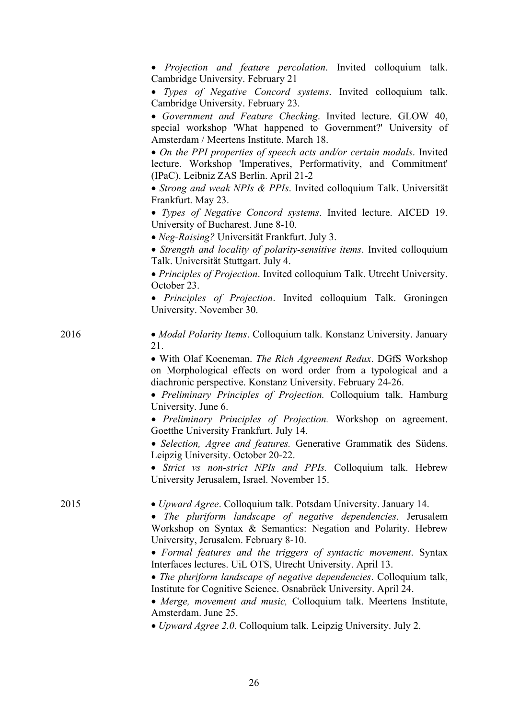|      | • Projection and feature percolation. Invited colloquium talk.<br>Cambridge University. February 21                                                                                                                                         |
|------|---------------------------------------------------------------------------------------------------------------------------------------------------------------------------------------------------------------------------------------------|
|      | · Types of Negative Concord systems. Invited colloquium talk.<br>Cambridge University. February 23.                                                                                                                                         |
|      | · Government and Feature Checking. Invited lecture. GLOW 40,<br>special workshop 'What happened to Government?' University of<br>Amsterdam / Meertens Institute. March 18.                                                                  |
|      | • On the PPI properties of speech acts and/or certain modals. Invited<br>lecture. Workshop 'Imperatives, Performativity, and Commitment'<br>(IPaC). Leibniz ZAS Berlin. April 21-2                                                          |
|      | • Strong and weak NPIs & PPIs. Invited colloquium Talk. Universität<br>Frankfurt. May 23.                                                                                                                                                   |
|      | • Types of Negative Concord systems. Invited lecture. AICED 19.<br>University of Bucharest. June 8-10.                                                                                                                                      |
|      | • Neg-Raising? Universität Frankfurt. July 3.                                                                                                                                                                                               |
|      | • Strength and locality of polarity-sensitive items. Invited colloquium<br>Talk. Universität Stuttgart. July 4.                                                                                                                             |
|      | • Principles of Projection. Invited colloquium Talk. Utrecht University.<br>October 23.                                                                                                                                                     |
|      | • Principles of Projection. Invited colloquium Talk. Groningen<br>University. November 30.                                                                                                                                                  |
| 2016 | • Modal Polarity Items. Colloquium talk. Konstanz University. January<br>21.                                                                                                                                                                |
|      | • With Olaf Koeneman. The Rich Agreement Redux. DGfS Workshop<br>on Morphological effects on word order from a typological and a<br>diachronic perspective. Konstanz University. February 24-26.                                            |
|      | • Preliminary Principles of Projection. Colloquium talk. Hamburg<br>University. June 6.                                                                                                                                                     |
|      | • Preliminary Principles of Projection. Workshop on agreement.<br>Goetthe University Frankfurt. July 14.                                                                                                                                    |
|      | · Selection, Agree and features. Generative Grammatik des Südens.<br>Leipzig University. October 20-22.                                                                                                                                     |
|      | • Strict vs non-strict NPIs and PPIs. Colloquium talk. Hebrew<br>University Jerusalem, Israel. November 15.                                                                                                                                 |
| 2015 | • Upward Agree. Colloquium talk. Potsdam University. January 14.<br>• The pluriform landscape of negative dependencies. Jerusalem<br>Workshop on Syntax & Semantics: Negation and Polarity. Hebrew<br>University, Jerusalem. February 8-10. |
|      | • Formal features and the triggers of syntactic movement. Syntax<br>Interfaces lectures. UiL OTS, Utrecht University. April 13.                                                                                                             |
|      | • The pluriform landscape of negative dependencies. Colloquium talk,<br>Institute for Cognitive Science. Osnabrück University. April 24.<br>• Merge, movement and music, Colloquium talk. Meertens Institute,                               |
|      | Amsterdam. June 25.<br>· Upward Agree 2.0. Colloquium talk. Leipzig University. July 2.                                                                                                                                                     |
|      |                                                                                                                                                                                                                                             |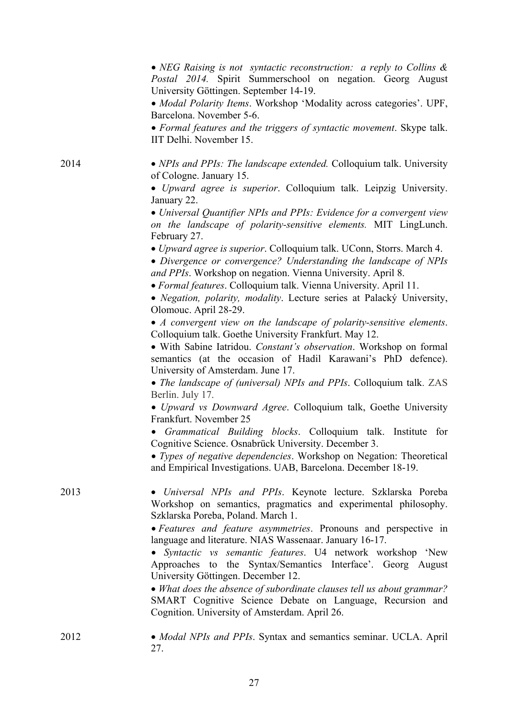• *NEG Raising is not syntactic reconstruction: a reply to Collins & Postal 2014.* Spirit Summerschool on negation. Georg August University Göttingen. September 14-19.

• *Modal Polarity Items*. Workshop 'Modality across categories'. UPF, Barcelona. November 5-6.

• *Formal features and the triggers of syntactic movement*. Skype talk. IIT Delhi. November 15.

2014 • *NPIs and PPIs: The landscape extended.* Colloquium talk. University of Cologne. January 15.

> • *Upward agree is superior*. Colloquium talk. Leipzig University. January 22.

> • *Universal Quantifier NPIs and PPIs: Evidence for a convergent view on the landscape of polarity-sensitive elements.* MIT LingLunch. February 27.

• *Upward agree is superior*. Colloquium talk. UConn, Storrs. March 4.

• *Divergence or convergence? Understanding the landscape of NPIs and PPIs*. Workshop on negation. Vienna University. April 8.

• *Formal features*. Colloquium talk. Vienna University. April 11.

• *Negation, polarity, modality*. Lecture series at Palacký University, Olomouc. April 28-29.

• *A convergent view on the landscape of polarity-sensitive elements*. Colloquium talk. Goethe University Frankfurt. May 12.

• With Sabine Iatridou. *Constant's observation*. Workshop on formal semantics (at the occasion of Hadil Karawani's PhD defence). University of Amsterdam. June 17.

• *The landscape of (universal) NPIs and PPIs*. Colloquium talk. ZAS Berlin. July 17.

• *Upward vs Downward Agree*. Colloquium talk, Goethe University Frankfurt. November 25

• *Grammatical Building blocks*. Colloquium talk. Institute for Cognitive Science. Osnabrück University. December 3.

• *Types of negative dependencies*. Workshop on Negation: Theoretical and Empirical Investigations. UAB, Barcelona. December 18-19.

2013 • *Universal NPIs and PPIs*. Keynote lecture. Szklarska Poreba Workshop on semantics, pragmatics and experimental philosophy. Szklarska Poreba, Poland. March 1.

> • *Features and feature asymmetries*. Pronouns and perspective in language and literature. NIAS Wassenaar. January 16-17.

> • *Syntactic vs semantic features*. U4 network workshop 'New Approaches to the Syntax/Semantics Interface'. Georg August University Göttingen. December 12.

> • *What does the absence of subordinate clauses tell us about grammar?* SMART Cognitive Science Debate on Language, Recursion and Cognition. University of Amsterdam. April 26.

| 2012 | • Modal NPIs and PPIs. Syntax and semantics seminar. UCLA. April |
|------|------------------------------------------------------------------|
|      |                                                                  |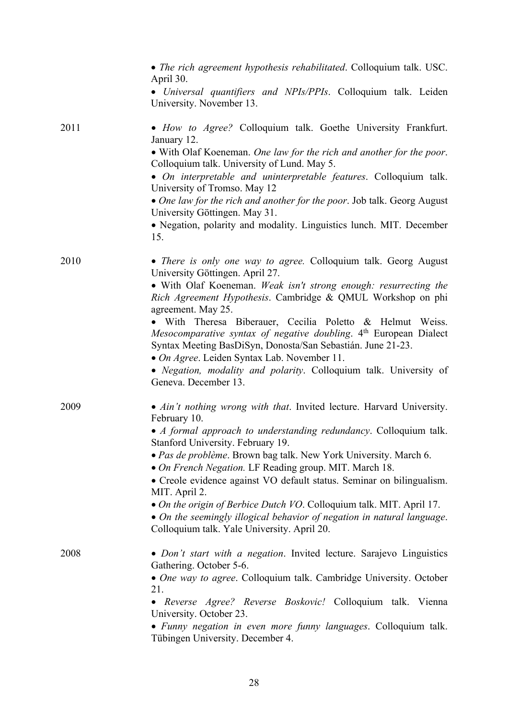|      | • The rich agreement hypothesis rehabilitated. Colloquium talk. USC.<br>April 30.                                                                                                             |
|------|-----------------------------------------------------------------------------------------------------------------------------------------------------------------------------------------------|
|      | • Universal quantifiers and NPIs/PPIs. Colloquium talk. Leiden<br>University. November 13.                                                                                                    |
| 2011 | • How to Agree? Colloquium talk. Goethe University Frankfurt.<br>January 12.                                                                                                                  |
|      | • With Olaf Koeneman. One law for the rich and another for the poor.<br>Colloquium talk. University of Lund. May 5.                                                                           |
|      | • On interpretable and uninterpretable features. Colloquium talk.<br>University of Tromso. May 12                                                                                             |
|      | • One law for the rich and another for the poor. Job talk. Georg August<br>University Göttingen. May 31.                                                                                      |
|      | • Negation, polarity and modality. Linguistics lunch. MIT. December<br>15.                                                                                                                    |
| 2010 | • There is only one way to agree. Colloquium talk. Georg August<br>University Göttingen. April 27.                                                                                            |
|      | • With Olaf Koeneman. Weak isn't strong enough: resurrecting the<br>Rich Agreement Hypothesis. Cambridge & QMUL Workshop on phi<br>agreement. May 25.                                         |
|      | • With Theresa Biberauer, Cecilia Poletto & Helmut Weiss.<br>Mesocomparative syntax of negative doubling. 4th European Dialect<br>Syntax Meeting BasDiSyn, Donosta/San Sebastián. June 21-23. |
|      | • On Agree. Leiden Syntax Lab. November 11.<br>• Negation, modality and polarity. Colloquium talk. University of<br>Geneva. December 13.                                                      |
| 2009 | • Ain't nothing wrong with that. Invited lecture. Harvard University.<br>February 10.                                                                                                         |
|      | • A formal approach to understanding redundancy. Colloquium talk.<br>Stanford University. February 19.                                                                                        |
|      | · Pas de problème. Brown bag talk. New York University. March 6.<br>• On French Negation. LF Reading group. MIT. March 18.                                                                    |
|      | • Creole evidence against VO default status. Seminar on bilingualism.<br>MIT. April 2.                                                                                                        |
|      | • On the origin of Berbice Dutch VO. Colloquium talk. MIT. April 17.<br>• On the seemingly illogical behavior of negation in natural language.                                                |
|      | Colloquium talk. Yale University. April 20.                                                                                                                                                   |
| 2008 | • Don't start with a negation. Invited lecture. Sarajevo Linguistics<br>Gathering. October 5-6.                                                                                               |
|      | • One way to agree. Colloquium talk. Cambridge University. October<br>21.                                                                                                                     |
|      | • Reverse Agree? Reverse Boskovic! Colloquium talk. Vienna<br>University. October 23.                                                                                                         |
|      | • Funny negation in even more funny languages. Colloquium talk.<br>Tübingen University. December 4.                                                                                           |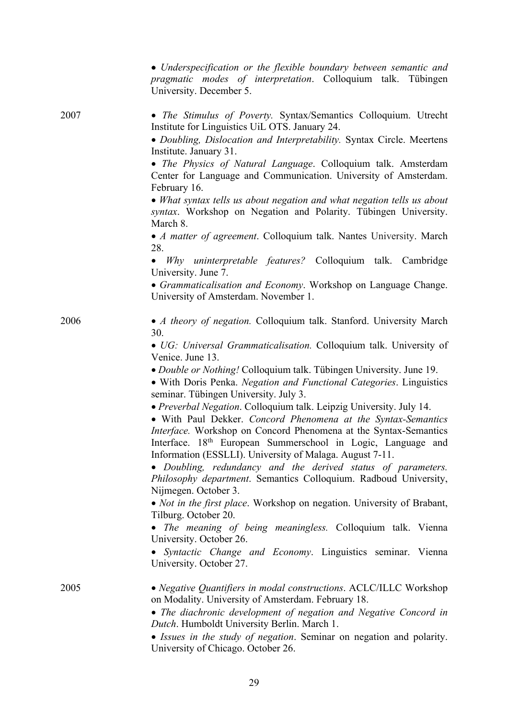|      | • Underspecification or the flexible boundary between semantic and<br>pragmatic modes of interpretation. Colloquium talk. Tübingen<br>University. December 5.                                                                                                                                                                                    |
|------|--------------------------------------------------------------------------------------------------------------------------------------------------------------------------------------------------------------------------------------------------------------------------------------------------------------------------------------------------|
| 2007 | • The Stimulus of Poverty. Syntax/Semantics Colloquium. Utrecht<br>Institute for Linguistics UiL OTS. January 24.                                                                                                                                                                                                                                |
|      | · Doubling, Dislocation and Interpretability. Syntax Circle. Meertens<br>Institute. January 31.                                                                                                                                                                                                                                                  |
|      | • The Physics of Natural Language. Colloquium talk. Amsterdam<br>Center for Language and Communication. University of Amsterdam.<br>February 16.                                                                                                                                                                                                 |
|      | • What syntax tells us about negation and what negation tells us about<br>syntax. Workshop on Negation and Polarity. Tübingen University.<br>March 8.                                                                                                                                                                                            |
|      | • A matter of agreement. Colloquium talk. Nantes University. March<br>28.                                                                                                                                                                                                                                                                        |
|      | Why uninterpretable features? Colloquium talk. Cambridge<br>$\bullet$<br>University. June 7.                                                                                                                                                                                                                                                     |
|      | • Grammaticalisation and Economy. Workshop on Language Change.<br>University of Amsterdam. November 1.                                                                                                                                                                                                                                           |
| 2006 | • A theory of negation. Colloquium talk. Stanford. University March<br>30.                                                                                                                                                                                                                                                                       |
|      | • UG: Universal Grammaticalisation. Colloquium talk. University of<br>Venice. June 13.                                                                                                                                                                                                                                                           |
|      | • Double or Nothing! Colloquium talk. Tübingen University. June 19.<br>· With Doris Penka. Negation and Functional Categories. Linguistics<br>seminar. Tübingen University. July 3.                                                                                                                                                              |
|      | · Preverbal Negation. Colloquium talk. Leipzig University. July 14.<br>• With Paul Dekker. Concord Phenomena at the Syntax-Semantics<br>Interface. Workshop on Concord Phenomena at the Syntax-Semantics<br>Interface. 18 <sup>th</sup> European Summerschool in Logic, Language and<br>Information (ESSLLI). University of Malaga. August 7-11. |
|      | • Doubling, redundancy and the derived status of parameters.<br>Philosophy department. Semantics Colloquium. Radboud University,<br>Nijmegen. October 3.                                                                                                                                                                                         |
|      | • <i>Not in the first place</i> . Workshop on negation. University of Brabant,<br>Tilburg. October 20.                                                                                                                                                                                                                                           |
|      | • The meaning of being meaningless. Colloquium talk. Vienna<br>University. October 26.                                                                                                                                                                                                                                                           |
|      | · Syntactic Change and Economy. Linguistics seminar. Vienna<br>University. October 27.                                                                                                                                                                                                                                                           |
| 2005 | • Negative Quantifiers in modal constructions. ACLC/ILLC Workshop<br>on Modality. University of Amsterdam. February 18.                                                                                                                                                                                                                          |
|      | • The diachronic development of negation and Negative Concord in<br>Dutch. Humboldt University Berlin. March 1.                                                                                                                                                                                                                                  |
|      | • Issues in the study of negation. Seminar on negation and polarity.<br>University of Chicago. October 26.                                                                                                                                                                                                                                       |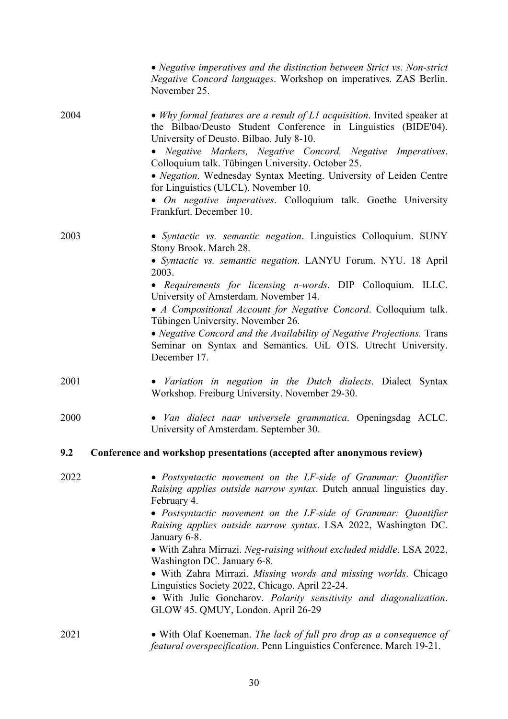|      | • Negative imperatives and the distinction between Strict vs. Non-strict<br>Negative Concord languages. Workshop on imperatives. ZAS Berlin.<br>November 25.                                                                                                                                                                                                                                                                                                                                                                                                                                                                                       |
|------|----------------------------------------------------------------------------------------------------------------------------------------------------------------------------------------------------------------------------------------------------------------------------------------------------------------------------------------------------------------------------------------------------------------------------------------------------------------------------------------------------------------------------------------------------------------------------------------------------------------------------------------------------|
| 2004 | • Why formal features are a result of $LI$ acquisition. Invited speaker at<br>the Bilbao/Deusto Student Conference in Linguistics (BIDE'04).<br>University of Deusto. Bilbao. July 8-10.<br>• Negative Markers, Negative Concord, Negative Imperatives.<br>Colloquium talk. Tübingen University. October 25.<br>• Negation. Wednesday Syntax Meeting. University of Leiden Centre<br>for Linguistics (ULCL). November 10.<br>• On negative imperatives. Colloquium talk. Goethe University<br>Frankfurt. December 10.                                                                                                                              |
| 2003 | • Syntactic vs. semantic negation. Linguistics Colloquium. SUNY<br>Stony Brook. March 28.<br>• Syntactic vs. semantic negation. LANYU Forum. NYU. 18 April<br>2003.<br>• Requirements for licensing n-words. DIP Colloquium. ILLC.<br>University of Amsterdam. November 14.<br>• A Compositional Account for Negative Concord. Colloquium talk.<br>Tübingen University. November 26.<br>• Negative Concord and the Availability of Negative Projections. Trans<br>Seminar on Syntax and Semantics. UiL OTS. Utrecht University.<br>December 17.                                                                                                    |
| 2001 | • Variation in negation in the Dutch dialects. Dialect Syntax<br>Workshop. Freiburg University. November 29-30.                                                                                                                                                                                                                                                                                                                                                                                                                                                                                                                                    |
| 2000 | • Van dialect naar universele grammatica. Openingsdag ACLC.<br>University of Amsterdam. September 30.                                                                                                                                                                                                                                                                                                                                                                                                                                                                                                                                              |
| 9.2  | Conference and workshop presentations (accepted after anonymous review)                                                                                                                                                                                                                                                                                                                                                                                                                                                                                                                                                                            |
| 2022 | • Postsyntactic movement on the LF-side of Grammar: Quantifier<br>Raising applies outside narrow syntax. Dutch annual linguistics day.<br>February 4.<br>• Postsyntactic movement on the LF-side of Grammar: Quantifier<br>Raising applies outside narrow syntax. LSA 2022, Washington DC.<br>January 6-8.<br>• With Zahra Mirrazi. Neg-raising without excluded middle. LSA 2022,<br>Washington DC. January 6-8.<br>• With Zahra Mirrazi. Missing words and missing worlds. Chicago<br>Linguistics Society 2022, Chicago. April 22-24.<br>· With Julie Goncharov. Polarity sensitivity and diagonalization.<br>GLOW 45. QMUY, London. April 26-29 |
| 2021 | • With Olaf Koeneman. The lack of full pro drop as a consequence of<br>featural overspecification. Penn Linguistics Conference. March 19-21.                                                                                                                                                                                                                                                                                                                                                                                                                                                                                                       |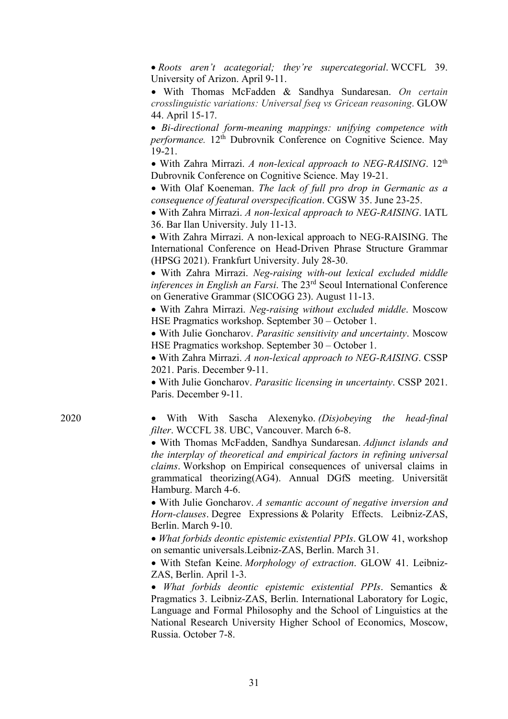• *Roots aren't acategorial; they're supercategorial*. WCCFL 39. University of Arizon. April 9-11.

• With Thomas McFadden & Sandhya Sundaresan. *On certain crosslinguistic variations: Universal fseq vs Gricean reasoning*. GLOW 44. April 15-17.

• *Bi-directional form-meaning mappings: unifying competence with performance.* 12th Dubrovnik Conference on Cognitive Science. May 19-21.

• With Zahra Mirrazi. *A non-lexical approach to NEG-RAISING*. 12th Dubrovnik Conference on Cognitive Science. May 19-21.

• With Olaf Koeneman. *The lack of full pro drop in Germanic as a consequence of featural overspecification*. CGSW 35. June 23-25.

• With Zahra Mirrazi. *A non-lexical approach to NEG-RAISING*. IATL 36. Bar Ilan University. July 11-13.

• With Zahra Mirrazi. A non-lexical approach to NEG-RAISING. The International Conference on Head-Driven Phrase Structure Grammar (HPSG 2021). Frankfurt University. July 28-30.

• With Zahra Mirrazi. *Neg-raising with-out lexical excluded middle inferences in English an Farsi*. The 23rd Seoul International Conference on Generative Grammar (SICOGG 23). August 11-13.

• With Zahra Mirrazi. *Neg-raising without excluded middle*. Moscow HSE Pragmatics workshop. September 30 – October 1.

• With Julie Goncharov. *Parasitic sensitivity and uncertainty*. Moscow HSE Pragmatics workshop. September 30 – October 1.

• With Zahra Mirrazi. *A non-lexical approach to NEG-RAISING*. CSSP 2021. Paris. December 9-11.

• With Julie Goncharov. *Parasitic licensing in uncertainty*. CSSP 2021. Paris. December 9-11.

2020 • With With Sascha Alexenyko. *(Dis)obeying the head-final filter*. WCCFL 38. UBC, Vancouver. March 6-8.

> • With Thomas McFadden, Sandhya Sundaresan. *Adjunct islands and the interplay of theoretical and empirical factors in refining universal claims*. Workshop on Empirical consequences of universal claims in grammatical theorizing(AG4). Annual DGfS meeting. Universität Hamburg. March 4-6.

> • With Julie Goncharov. *A semantic account of negative inversion and Horn-clauses*. Degree Expressions & Polarity Effects. Leibniz-ZAS, Berlin. March 9-10.

> • *What forbids deontic epistemic existential PPIs*. GLOW 41, workshop on semantic universals.Leibniz-ZAS, Berlin. March 31.

> • With Stefan Keine. *Morphology of extraction*. GLOW 41. Leibniz-ZAS, Berlin. April 1-3.

> • *What forbids deontic epistemic existential PPIs*. Semantics & Pragmatics 3. Leibniz-ZAS, Berlin. International Laboratory for Logic, Language and Formal Philosophy and the School of Linguistics at the National Research University Higher School of Economics, Moscow, Russia. October 7-8.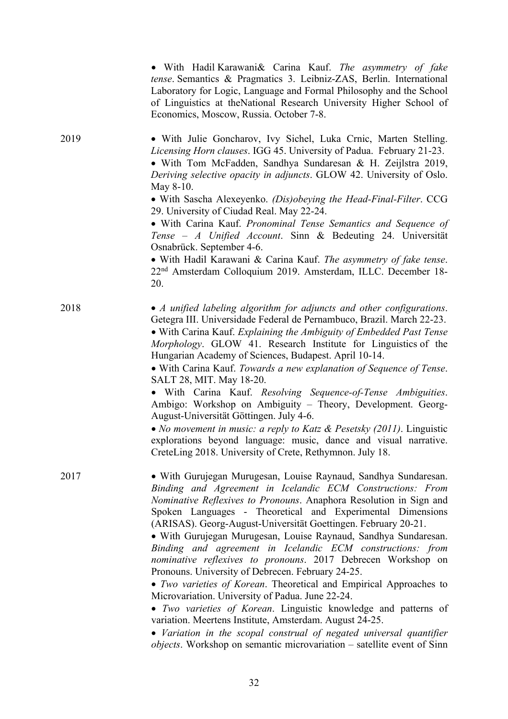|      | • With Hadil Karawani& Carina Kauf. The asymmetry of fake<br>tense. Semantics & Pragmatics 3. Leibniz-ZAS, Berlin. International<br>Laboratory for Logic, Language and Formal Philosophy and the School<br>of Linguistics at the National Research University Higher School of<br>Economics, Moscow, Russia. October 7-8.           |
|------|-------------------------------------------------------------------------------------------------------------------------------------------------------------------------------------------------------------------------------------------------------------------------------------------------------------------------------------|
| 2019 | • With Julie Goncharov, Ivy Sichel, Luka Crnic, Marten Stelling.<br>Licensing Horn clauses. IGG 45. University of Padua. February 21-23.<br>· With Tom McFadden, Sandhya Sundaresan & H. Zeijlstra 2019,<br>Deriving selective opacity in adjuncts. GLOW 42. University of Oslo.<br>May 8-10.                                       |
|      | • With Sascha Alexeyenko. (Dis)obeying the Head-Final-Filter. CCG<br>29. University of Ciudad Real. May 22-24.<br>• With Carina Kauf. Pronominal Tense Semantics and Sequence of                                                                                                                                                    |
|      | Tense - A Unified Account. Sinn & Bedeuting 24. Universität<br>Osnabrück. September 4-6.                                                                                                                                                                                                                                            |
|      | • With Hadil Karawani & Carina Kauf. The asymmetry of fake tense.<br>22 <sup>nd</sup> Amsterdam Colloquium 2019. Amsterdam, ILLC. December 18-<br>20.                                                                                                                                                                               |
| 2018 | • A unified labeling algorithm for adjuncts and other configurations.<br>Getegra III. Universidade Federal de Pernambuco, Brazil. March 22-23.<br>• With Carina Kauf. Explaining the Ambiguity of Embedded Past Tense<br>Morphology. GLOW 41. Research Institute for Linguistics of the                                             |
|      | Hungarian Academy of Sciences, Budapest. April 10-14.<br>• With Carina Kauf. Towards a new explanation of Sequence of Tense.                                                                                                                                                                                                        |
|      | SALT 28, MIT. May 18-20.<br>• With Carina Kauf. Resolving Sequence-of-Tense Ambiguities.<br>Ambigo: Workshop on Ambiguity - Theory, Development. Georg-<br>August-Universität Göttingen. July 4-6.                                                                                                                                  |
|      | • No movement in music: a reply to Katz & Pesetsky $(2011)$ . Linguistic<br>explorations beyond language: music, dance and visual narrative.<br>CreteLing 2018. University of Crete, Rethymnon. July 18.                                                                                                                            |
| 2017 | • With Gurujegan Murugesan, Louise Raynaud, Sandhya Sundaresan.<br>Binding and Agreement in Icelandic ECM Constructions: From<br>Nominative Reflexives to Pronouns. Anaphora Resolution in Sign and<br>Spoken Languages - Theoretical and Experimental Dimensions<br>(ARISAS). Georg-August-Universität Goettingen. February 20-21. |
|      | • With Gurujegan Murugesan, Louise Raynaud, Sandhya Sundaresan.<br>Binding and agreement in Icelandic ECM constructions: from<br>nominative reflexives to pronouns. 2017 Debrecen Workshop on<br>Pronouns. University of Debrecen. February 24-25.                                                                                  |
|      | • Two varieties of Korean. Theoretical and Empirical Approaches to<br>Microvariation. University of Padua. June 22-24.                                                                                                                                                                                                              |
|      | • Two varieties of Korean. Linguistic knowledge and patterns of<br>variation. Meertens Institute, Amsterdam. August 24-25.                                                                                                                                                                                                          |
|      | • Variation in the scopal construal of negated universal quantifier<br><i>objects</i> . Workshop on semantic microvariation – satellite event of Sinn                                                                                                                                                                               |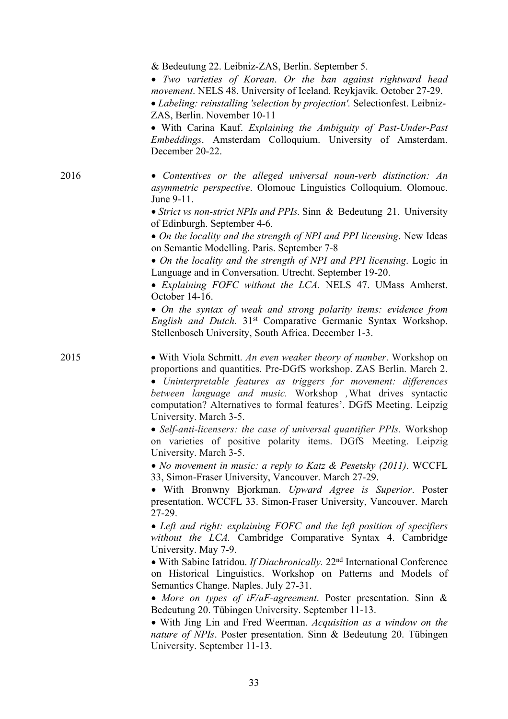& Bedeutung 22. Leibniz-ZAS, Berlin. September 5.

• *Two varieties of Korean*. *Or the ban against rightward head movement*. NELS 48. University of Iceland. Reykjavik. October 27-29. • *Labeling: reinstalling 'selection by projection'.* Selectionfest. Leibniz-ZAS, Berlin. November 10-11

• With Carina Kauf. *Explaining the Ambiguity of Past-Under-Past Embeddings*. Amsterdam Colloquium. University of Amsterdam. December 20-22.

2016 • *Contentives or the alleged universal noun-verb distinction: An asymmetric perspective*. Olomouc Linguistics Colloquium. Olomouc. June 9-11.

> • *Strict vs non-strict NPIs and PPIs.* Sinn & Bedeutung 21. University of Edinburgh. September 4-6.

> • *On the locality and the strength of NPI and PPI licensing*. New Ideas on Semantic Modelling. Paris. September 7-8

> • *On the locality and the strength of NPI and PPI licensing*. Logic in Language and in Conversation. Utrecht. September 19-20.

> • *Explaining FOFC without the LCA.* NELS 47. UMass Amherst. October 14-16.

> • *On the syntax of weak and strong polarity items: evidence from English and Dutch.* 31<sup>st</sup> Comparative Germanic Syntax Workshop. Stellenbosch University, South Africa. December 1-3.

2015 • With Viola Schmitt. *An even weaker theory of number*. Workshop on proportions and quantities. Pre-DGfS workshop. ZAS Berlin. March 2.

> • *Uninterpretable features as triggers for movement: differences between language and music.* Workshop *'*What drives syntactic computation? Alternatives to formal features'. DGfS Meeting. Leipzig University. March 3-5.

> • *Self-anti-licensers: the case of universal quantifier PPIs.* Workshop on varieties of positive polarity items. DGfS Meeting. Leipzig University. March 3-5.

> • *No movement in music: a reply to Katz & Pesetsky (2011)*. WCCFL 33, Simon-Fraser University, Vancouver. March 27-29.

> • With Bronwny Bjorkman. *Upward Agree is Superior*. Poster presentation. WCCFL 33. Simon-Fraser University, Vancouver. March 27-29.

> • *Left and right: explaining FOFC and the left position of specifiers without the LCA.* Cambridge Comparative Syntax 4. Cambridge University. May 7-9.

> • With Sabine Iatridou. *If Diachronically.* 22nd International Conference on Historical Linguistics. Workshop on Patterns and Models of Semantics Change. Naples. July 27-31.

> • *More on types of iF/uF-agreement*. Poster presentation. Sinn & Bedeutung 20. Tübingen University. September 11-13.

> • With Jing Lin and Fred Weerman. *Acquisition as a window on the nature of NPIs*. Poster presentation. Sinn & Bedeutung 20. Tübingen University. September 11-13.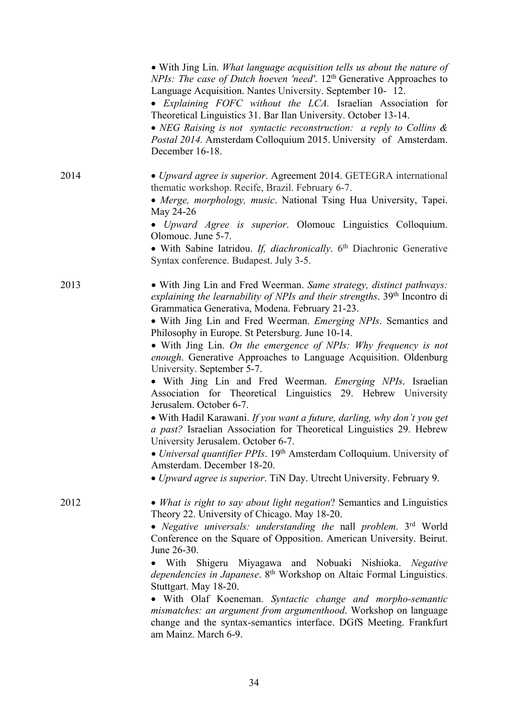|      | • With Jing Lin. What language acquisition tells us about the nature of<br><i>NPIs: The case of Dutch hoeven 'need'.</i> 12 <sup>th</sup> Generative Approaches to<br>Language Acquisition. Nantes University. September 10-12.<br>• Explaining FOFC without the LCA. Israelian Association for<br>Theoretical Linguistics 31. Bar Ilan University. October 13-14.<br>• NEG Raising is not syntactic reconstruction: a reply to Collins $\&$<br>Postal 2014. Amsterdam Colloquium 2015. University of Amsterdam.<br>December 16-18.                                                                                                                                                                                                                                                                                                                                                                                                                                                                                                                 |
|------|-----------------------------------------------------------------------------------------------------------------------------------------------------------------------------------------------------------------------------------------------------------------------------------------------------------------------------------------------------------------------------------------------------------------------------------------------------------------------------------------------------------------------------------------------------------------------------------------------------------------------------------------------------------------------------------------------------------------------------------------------------------------------------------------------------------------------------------------------------------------------------------------------------------------------------------------------------------------------------------------------------------------------------------------------------|
| 2014 | • Upward agree is superior. Agreement 2014. GETEGRA international<br>thematic workshop. Recife, Brazil. February 6-7.<br>• Merge, morphology, music. National Tsing Hua University, Tapei.<br>May 24-26<br>• Upward Agree is superior. Olomouc Linguistics Colloquium.<br>Olomouc. June 5-7.<br>• With Sabine Iatridou. If, diachronically. 6th Diachronic Generative<br>Syntax conference. Budapest. July 3-5.                                                                                                                                                                                                                                                                                                                                                                                                                                                                                                                                                                                                                                     |
| 2013 | • With Jing Lin and Fred Weerman. Same strategy, distinct pathways:<br>explaining the learnability of NPIs and their strengths. 39 <sup>th</sup> Incontro di<br>Grammatica Generativa, Modena. February 21-23.<br>• With Jing Lin and Fred Weerman. Emerging NPIs. Semantics and<br>Philosophy in Europe. St Petersburg. June 10-14.<br>• With Jing Lin. On the emergence of NPIs: Why frequency is not<br>enough. Generative Approaches to Language Acquisition. Oldenburg<br>University. September 5-7.<br>• With Jing Lin and Fred Weerman. <i>Emerging NPIs</i> . Israelian<br>Association for Theoretical Linguistics 29. Hebrew University<br>Jerusalem. October 6-7.<br>• With Hadil Karawani. If you want a future, darling, why don't you get<br>a past? Israelian Association for Theoretical Linguistics 29. Hebrew<br>University Jerusalem. October 6-7.<br>• Universal quantifier PPIs. 19th Amsterdam Colloquium. University of<br>Amsterdam. December 18-20.<br>• Upward agree is superior. TiN Day. Utrecht University. February 9. |
| 2012 | • What is right to say about light negation? Semantics and Linguistics<br>Theory 22. University of Chicago. May 18-20.<br>• Negative universals: understanding the nall problem. $3rd$ World<br>Conference on the Square of Opposition. American University. Beirut.<br>June 26-30.<br>· With Shigeru Miyagawa and Nobuaki Nishioka. Negative<br>dependencies in Japanese. 8 <sup>th</sup> Workshop on Altaic Formal Linguistics.<br>Stuttgart. May 18-20.<br>• With Olaf Koeneman. Syntactic change and morpho-semantic<br>mismatches: an argument from argumenthood. Workshop on language<br>change and the syntax-semantics interface. DGfS Meeting. Frankfurt<br>am Mainz. March 6-9.                                                                                                                                                                                                                                                                                                                                                           |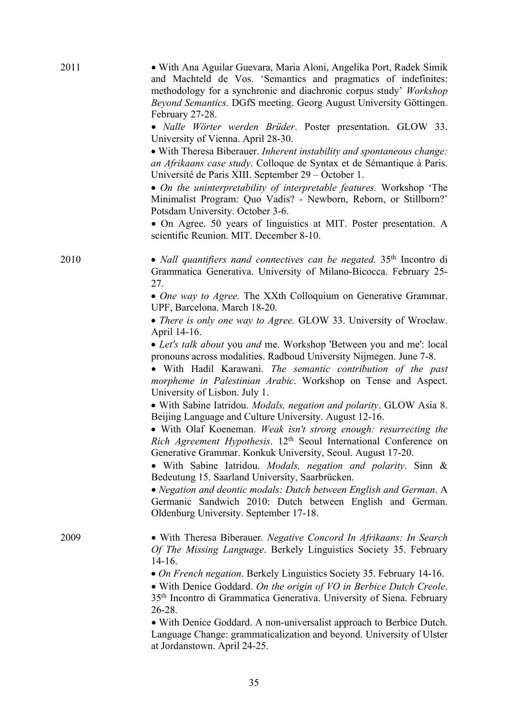| 2011 | • With Ana Aguilar Guevara, Maria Aloni, Angelika Port, Radek Simik<br>and Machteld de Vos. 'Semantics and pragmatics of indefinites:<br>methodology for a synchronic and diachronic corpus study' Workshop<br>Beyond Semantics. DGfS meeting. Georg August University Göttingen.<br>February 27-28.<br>• Nalle Wörter werden Brüder. Poster presentation. GLOW 33.<br>University of Vienna. April 28-30.<br>• With Theresa Biberauer. Inherent instability and spontaneous change:<br>an Afrikaans case study. Colloque de Syntax et de Sémantique à Paris.<br>Université de Paris XIII. September 29 – October 1. |
|------|---------------------------------------------------------------------------------------------------------------------------------------------------------------------------------------------------------------------------------------------------------------------------------------------------------------------------------------------------------------------------------------------------------------------------------------------------------------------------------------------------------------------------------------------------------------------------------------------------------------------|
|      | • On the uninterpretability of interpretable features. Workshop 'The<br>Minimalist Program: Quo Vadis? - Newborn, Reborn, or Stillborn?'<br>Potsdam University. October 3-6.                                                                                                                                                                                                                                                                                                                                                                                                                                        |
|      | • On Agree. 50 years of linguistics at MIT. Poster presentation. A<br>scientific Reunion. MIT. December 8-10.                                                                                                                                                                                                                                                                                                                                                                                                                                                                                                       |
| 2010 | • Nall quantifiers nand connectives can be negated. $35th$ Incontro di<br>Grammatica Generativa. University of Milano-Bicocca. February 25-<br>27.                                                                                                                                                                                                                                                                                                                                                                                                                                                                  |
|      | • One way to Agree. The XXth Colloquium on Generative Grammar.<br>UPF, Barcelona. March 18-20.                                                                                                                                                                                                                                                                                                                                                                                                                                                                                                                      |
|      | • There is only one way to Agree. GLOW 33. University of Wrocław.<br>April 14-16.                                                                                                                                                                                                                                                                                                                                                                                                                                                                                                                                   |
|      | • Let's talk about you and me. Workshop 'Between you and me': local<br>pronouns across modalities. Radboud University Nijmegen. June 7-8.<br>• With Hadil Karawani. The semantic contribution of the past<br>morpheme in Palestinian Arabic. Workshop on Tense and Aspect.<br>University of Lisbon. July 1.                                                                                                                                                                                                                                                                                                         |
|      | · With Sabine Iatridou. Modals, negation and polarity. GLOW Asia 8.<br>Beijing Language and Culture University. August 12-16.                                                                                                                                                                                                                                                                                                                                                                                                                                                                                       |
|      | • With Olaf Koeneman. Weak isn't strong enough: resurrecting the<br>Rich Agreement Hypothesis. 12 <sup>th</sup> Seoul International Conference on<br>Generative Grammar. Konkuk University, Seoul. August 17-20.                                                                                                                                                                                                                                                                                                                                                                                                    |
|      | · With Sabine Iatridou. Modals, negation and polarity. Sinn &<br>Bedeutung 15. Saarland University, Saarbrücken.                                                                                                                                                                                                                                                                                                                                                                                                                                                                                                    |
|      | • Negation and deontic modals: Dutch between English and German. A<br>Germanic Sandwich 2010: Dutch between English and German.<br>Oldenburg University. September 17-18.                                                                                                                                                                                                                                                                                                                                                                                                                                           |
| 2009 | • With Theresa Biberauer. Negative Concord In Afrikaans: In Search<br>Of The Missing Language. Berkely Linguistics Society 35. February<br>$14-16.$                                                                                                                                                                                                                                                                                                                                                                                                                                                                 |
|      | • On French negation. Berkely Linguistics Society 35. February 14-16.<br>• With Denice Goddard. On the origin of VO in Berbice Dutch Creole.<br>35 <sup>th</sup> Incontro di Grammatica Generativa. University of Siena. February<br>$26 - 28.$                                                                                                                                                                                                                                                                                                                                                                     |
|      | • With Denice Goddard. A non-universalist approach to Berbice Dutch.<br>Language Change: grammaticalization and beyond. University of Ulster<br>at Jordanstown. April 24-25.                                                                                                                                                                                                                                                                                                                                                                                                                                        |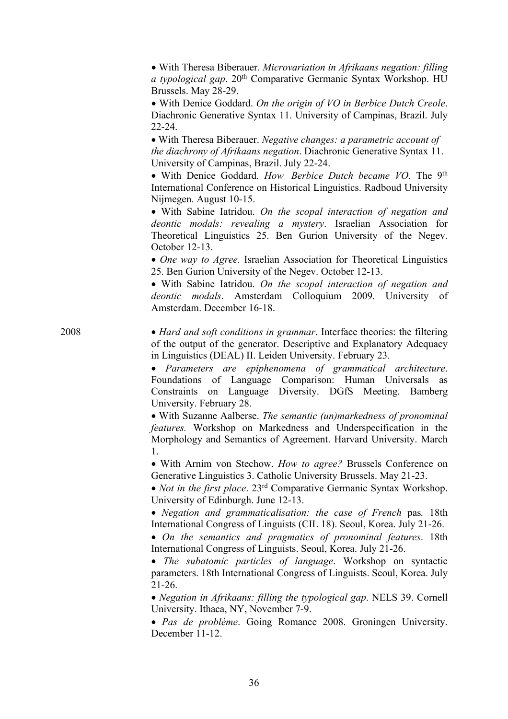|      | • With Theresa Biberauer. Microvariation in Afrikaans negation: filling<br>a typological gap. 20th Comparative Germanic Syntax Workshop. HU<br>Brussels. May 28-29.                                                                                                                                                    |
|------|------------------------------------------------------------------------------------------------------------------------------------------------------------------------------------------------------------------------------------------------------------------------------------------------------------------------|
|      | • With Denice Goddard. On the origin of VO in Berbice Dutch Creole.<br>Diachronic Generative Syntax 11. University of Campinas, Brazil. July<br>$22 - 24.$                                                                                                                                                             |
|      | • With Theresa Biberauer. Negative changes: a parametric account of<br>the diachrony of Afrikaans negation. Diachronic Generative Syntax 11.<br>University of Campinas, Brazil. July 22-24.                                                                                                                            |
|      | • With Denice Goddard. How Berbice Dutch became VO. The 9th<br>International Conference on Historical Linguistics. Radboud University<br>Nijmegen. August 10-15.                                                                                                                                                       |
|      | • With Sabine Iatridou. On the scopal interaction of negation and<br>deontic modals: revealing a mystery. Israelian Association for<br>Theoretical Linguistics 25. Ben Gurion University of the Negev.<br>October 12-13.                                                                                               |
|      | • One way to Agree. Israelian Association for Theoretical Linguistics<br>25. Ben Gurion University of the Negev. October 12-13.<br>• With Sabine Iatridou. On the scopal interaction of negation and<br>deontic modals. Amsterdam Colloquium 2009. University of<br>Amsterdam. December 16-18.                         |
| 2008 | • Hard and soft conditions in grammar. Interface theories: the filtering<br>of the output of the generator. Descriptive and Explanatory Adequacy<br>in Linguistics (DEAL) II. Leiden University. February 23.                                                                                                          |
|      | • Parameters are epiphenomena of grammatical architecture.<br>Foundations of Language Comparison: Human Universals as<br>Constraints on Language Diversity. DGfS Meeting. Bamberg<br>University. February 28.                                                                                                          |
|      | • With Suzanne Aalberse. The semantic (un)markedness of pronominal<br>features. Workshop on Markedness and Underspecification in the<br>Morphology and Semantics of Agreement. Harvard University. March                                                                                                               |
|      | 1.<br>• With Arnim von Stechow. How to agree? Brussels Conference on<br>Generative Linguistics 3. Catholic University Brussels. May 21-23.<br>• Not in the first place. 23 <sup>rd</sup> Comparative Germanic Syntax Workshop.                                                                                         |
|      | University of Edinburgh. June 12-13.<br>• Negation and grammaticalisation: the case of French pas. 18th<br>International Congress of Linguists (CIL 18). Seoul, Korea. July 21-26.<br>• On the semantics and pragmatics of pronominal features. 18th<br>International Congress of Linguists. Seoul, Korea. July 21-26. |
|      | The subatomic particles of language. Workshop on syntactic<br>parameters. 18th International Congress of Linguists. Seoul, Korea. July<br>$21-26.$                                                                                                                                                                     |
|      | • Negation in Afrikaans: filling the typological gap. NELS 39. Cornell<br>University. Ithaca, NY, November 7-9.<br>· Pas de problème. Going Romance 2008. Groningen University.                                                                                                                                        |
|      | December 11-12.                                                                                                                                                                                                                                                                                                        |

36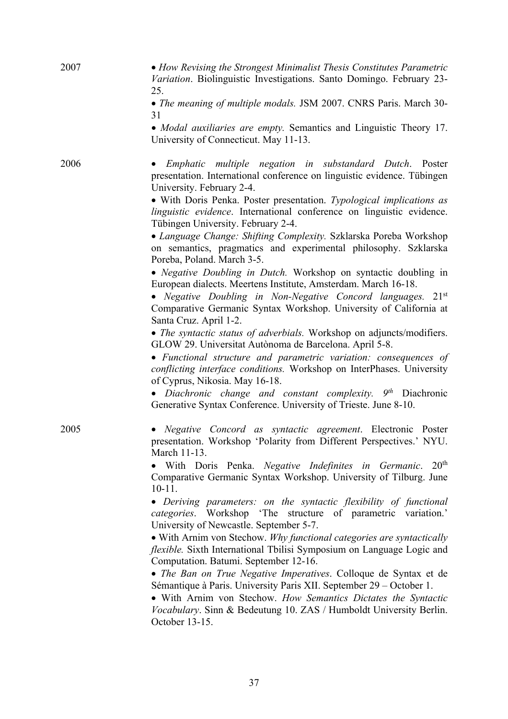| 2007 | • How Revising the Strongest Minimalist Thesis Constitutes Parametric<br>Variation. Biolinguistic Investigations. Santo Domingo. February 23-<br>25.                                                                                                                                                                                                   |
|------|--------------------------------------------------------------------------------------------------------------------------------------------------------------------------------------------------------------------------------------------------------------------------------------------------------------------------------------------------------|
|      | • The meaning of multiple modals. JSM 2007. CNRS Paris. March 30-<br>31                                                                                                                                                                                                                                                                                |
|      | • Modal auxiliaries are empty. Semantics and Linguistic Theory 17.<br>University of Connecticut. May 11-13.                                                                                                                                                                                                                                            |
| 2006 | Emphatic multiple negation in substandard Dutch. Poster<br>presentation. International conference on linguistic evidence. Tübingen<br>University. February 2-4.<br>• With Doris Penka. Poster presentation. Typological implications as<br>linguistic evidence. International conference on linguistic evidence.<br>Tübingen University. February 2-4. |
|      | • Language Change: Shifting Complexity. Szklarska Poreba Workshop<br>on semantics, pragmatics and experimental philosophy. Szklarska<br>Poreba, Poland. March 3-5.                                                                                                                                                                                     |
|      | • Negative Doubling in Dutch. Workshop on syntactic doubling in<br>European dialects. Meertens Institute, Amsterdam. March 16-18.<br>• Negative Doubling in Non-Negative Concord languages. $21^{st}$<br>Comparative Germanic Syntax Workshop. University of California at<br>Santa Cruz. April 1-2.                                                   |
|      | • The syntactic status of adverbials. Workshop on adjuncts/modifiers.<br>GLOW 29. Universitat Autònoma de Barcelona. April 5-8.                                                                                                                                                                                                                        |
|      | • Functional structure and parametric variation: consequences of<br>conflicting interface conditions. Workshop on InterPhases. University<br>of Cyprus, Nikosia. May 16-18.                                                                                                                                                                            |
|      | • Diachronic change and constant complexity. $9th$ Diachronic<br>Generative Syntax Conference. University of Trieste. June 8-10.                                                                                                                                                                                                                       |
| 2005 | Negative Concord as syntactic agreement. Electronic Poster<br>presentation. Workshop 'Polarity from Different Perspectives.' NYU.<br>March 11-13.                                                                                                                                                                                                      |
|      | 20 <sup>th</sup><br>With Doris Penka. Negative Indefinites in Germanic.<br>Comparative Germanic Syntax Workshop. University of Tilburg. June<br>$10-11.$                                                                                                                                                                                               |
|      | • Deriving parameters: on the syntactic flexibility of functional<br>categories. Workshop 'The structure of parametric variation.'<br>University of Newcastle. September 5-7.                                                                                                                                                                          |
|      | • With Arnim von Stechow. Why functional categories are syntactically<br>flexible. Sixth International Tbilisi Symposium on Language Logic and<br>Computation. Batumi. September 12-16.                                                                                                                                                                |
|      | • The Ban on True Negative Imperatives. Colloque de Syntax et de<br>Sémantique à Paris. University Paris XII. September 29 - October 1.                                                                                                                                                                                                                |
|      | • With Arnim von Stechow. How Semantics Dictates the Syntactic<br>Vocabulary. Sinn & Bedeutung 10. ZAS / Humboldt University Berlin.<br>October 13-15.                                                                                                                                                                                                 |